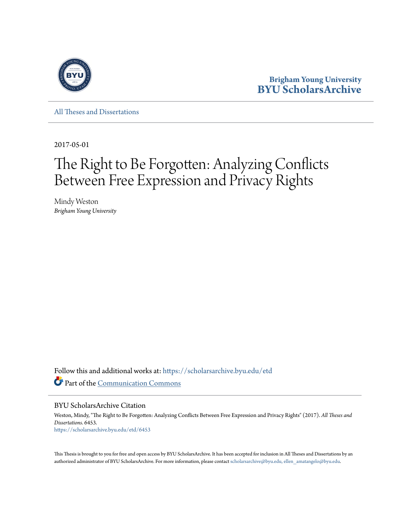

**Brigham Young University [BYU ScholarsArchive](https://scholarsarchive.byu.edu?utm_source=scholarsarchive.byu.edu%2Fetd%2F6453&utm_medium=PDF&utm_campaign=PDFCoverPages)**

[All Theses and Dissertations](https://scholarsarchive.byu.edu/etd?utm_source=scholarsarchive.byu.edu%2Fetd%2F6453&utm_medium=PDF&utm_campaign=PDFCoverPages)

2017-05-01

# The Right to Be Forgotten: Analyzing Conflicts Between Free Expression and Privacy Rights

Mindy Weston *Brigham Young University*

Follow this and additional works at: [https://scholarsarchive.byu.edu/etd](https://scholarsarchive.byu.edu/etd?utm_source=scholarsarchive.byu.edu%2Fetd%2F6453&utm_medium=PDF&utm_campaign=PDFCoverPages) Part of the [Communication Commons](http://network.bepress.com/hgg/discipline/325?utm_source=scholarsarchive.byu.edu%2Fetd%2F6453&utm_medium=PDF&utm_campaign=PDFCoverPages)

BYU ScholarsArchive Citation

Weston, Mindy, "The Right to Be Forgotten: Analyzing Conflicts Between Free Expression and Privacy Rights" (2017). *All Theses and Dissertations*. 6453. [https://scholarsarchive.byu.edu/etd/6453](https://scholarsarchive.byu.edu/etd/6453?utm_source=scholarsarchive.byu.edu%2Fetd%2F6453&utm_medium=PDF&utm_campaign=PDFCoverPages)

This Thesis is brought to you for free and open access by BYU ScholarsArchive. It has been accepted for inclusion in All Theses and Dissertations by an authorized administrator of BYU ScholarsArchive. For more information, please contact [scholarsarchive@byu.edu, ellen\\_amatangelo@byu.edu.](mailto:scholarsarchive@byu.edu,%20ellen_amatangelo@byu.edu)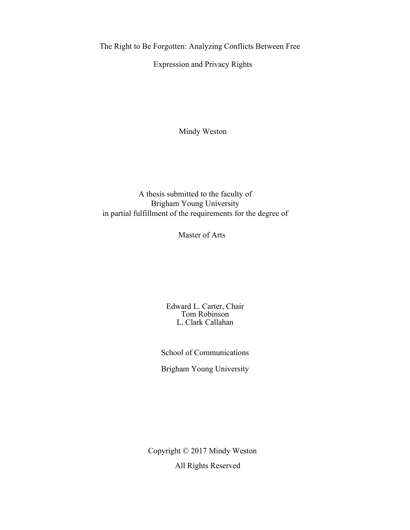The Right to Be Forgotten: Analyzing Conflicts Between Free

Expression and Privacy Rights

Mindy Weston

A thesis submitted to the faculty of Brigham Young University in partial fulfillment of the requirements for the degree of

Master of Arts

Edward L. Carter, Chair Tom Robinson L. Clark Callahan

School of Communications

Brigham Young University

Copyright © 2017 Mindy Weston All Rights Reserved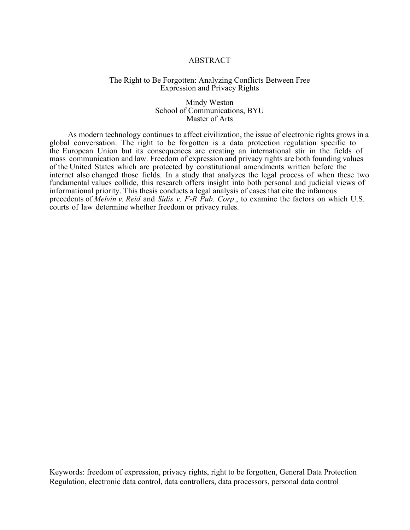#### ABSTRACT

#### The Right to Be Forgotten: Analyzing Conflicts Between Free Expression and Privacy Rights

#### Mindy Weston School of Communications, BYU Master of Arts

 As modern technology continues to affect civilization, the issue of electronic rights grows in a global conversation. The right to be forgotten is a data protection regulation specific to the European Union but its consequences are creating an international stir in the fields of mass communication and law. Freedom of expression and privacy rights are both founding values of the United States which are protected by constitutional amendments written before the internet also changed those fields. In a study that analyzes the legal process of when these two fundamental values collide, this research offers insight into both personal and judicial views of informational priority. This thesis conducts a legal analysis of cases that cite the infamous precedents of *Melvin v. Reid* and *Sidis v. F-R Pub. Corp*., to examine the factors on which U.S. courts of law determine whether freedom or privacy rules.

Keywords: freedom of expression, privacy rights, right to be forgotten, General Data Protection Regulation, electronic data control, data controllers, data processors, personal data control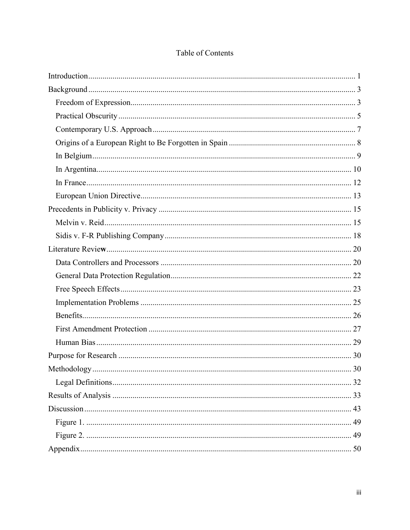<span id="page-3-0"></span>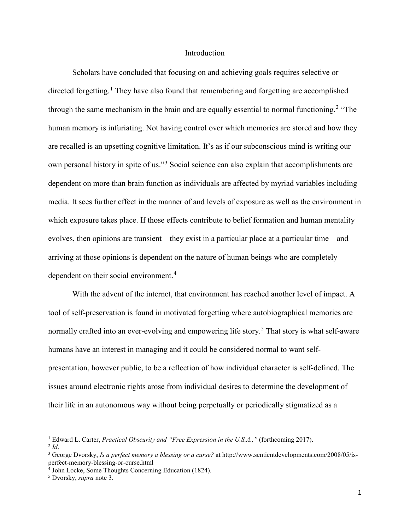#### Introduction

Scholars have concluded that focusing on and achieving goals requires selective or directed forgetting.<sup>[1](#page-4-0)</sup> They have also found that remembering and forgetting are accomplished through the same mechanism in the brain and are equally essential to normal functioning.<sup>[2](#page-4-1)</sup> "The human memory is infuriating. Not having control over which memories are stored and how they are recalled is an upsetting cognitive limitation. It's as if our subconscious mind is writing our own personal history in spite of us."<sup>[3](#page-4-2)</sup> Social science can also explain that accomplishments are dependent on more than brain function as individuals are affected by myriad variables including media. It sees further effect in the manner of and levels of exposure as well as the environment in which exposure takes place. If those effects contribute to belief formation and human mentality evolves, then opinions are transient—they exist in a particular place at a particular time—and arriving at those opinions is dependent on the nature of human beings who are completely dependent on their social environment.<sup>[4](#page-4-3)</sup>

With the advent of the internet, that environment has reached another level of impact. A tool of self-preservation is found in motivated forgetting where autobiographical memories are normally crafted into an ever-evolving and empowering life story. [5](#page-4-4) That story is what self-aware humans have an interest in managing and it could be considered normal to want selfpresentation, however public, to be a reflection of how individual character is self-defined. The issues around electronic rights arose from individual desires to determine the development of their life in an autonomous way without being perpetually or periodically stigmatized as a

<span id="page-4-1"></span><span id="page-4-0"></span><sup>&</sup>lt;sup>1</sup> Edward L. Carter, *Practical Obscurity and "Free Expression in the U.S.A.,"* (forthcoming 2017).  $^2$  *Id*.

<span id="page-4-2"></span><sup>3</sup> George Dvorsky, *Is a perfect memory a blessing or a curse?* at http://www.sentientdevelopments.com/2008/05/isperfect-memory-blessing-or-curse.html

<span id="page-4-3"></span><sup>4</sup> John Locke, Some Thoughts Concerning Education (1824).

<span id="page-4-4"></span><sup>5</sup> Dvorsky, *supra* note 3.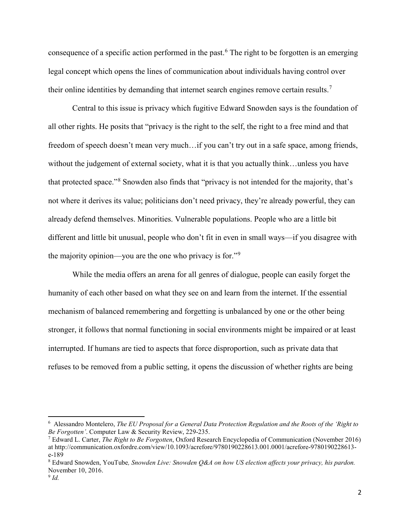consequence of a specific action performed in the past. [6](#page-5-0) The right to be forgotten is an emerging legal concept which opens the lines of communication about individuals having control over their online identities by demanding that internet search engines remove certain results.<sup>[7](#page-5-1)</sup>

Central to this issue is privacy which fugitive Edward Snowden says is the foundation of all other rights. He posits that "privacy is the right to the self, the right to a free mind and that freedom of speech doesn't mean very much…if you can't try out in a safe space, among friends, without the judgement of external society, what it is that you actually think...unless you have that protected space."[8](#page-5-2) Snowden also finds that "privacy is not intended for the majority, that's not where it derives its value; politicians don't need privacy, they're already powerful, they can already defend themselves. Minorities. Vulnerable populations. People who are a little bit different and little bit unusual, people who don't fit in even in small ways—if you disagree with the majority opinion—you are the one who privacy is for."[9](#page-5-3)

While the media offers an arena for all genres of dialogue, people can easily forget the humanity of each other based on what they see on and learn from the internet. If the essential mechanism of balanced remembering and forgetting is unbalanced by one or the other being stronger, it follows that normal functioning in social environments might be impaired or at least interrupted. If humans are tied to aspects that force disproportion, such as private data that refuses to be removed from a public setting, it opens the discussion of whether rights are being

<span id="page-5-0"></span><sup>6</sup> Alessandro Montelero, *The EU Proposal for a General Data Protection Regulation and the Roots of the 'Right to Be Forgotten'*. Computer Law & Security Review, 229-235.<br><sup>7</sup> Edward L. Carter, *The Right to Be Forgotten*, Oxford Research Encyclopedia of Communication (November 2016)

<span id="page-5-1"></span>at http://communication.oxfordre.com/view/10.1093/acrefore/9780190228613.001.0001/acrefore-9780190228613 e-189

<span id="page-5-3"></span><span id="page-5-2"></span><sup>8</sup> Edward Snowden, YouTube*, Snowden Live: Snowden Q&A on how US election affects your privacy, his pardon.* November 10, 2016.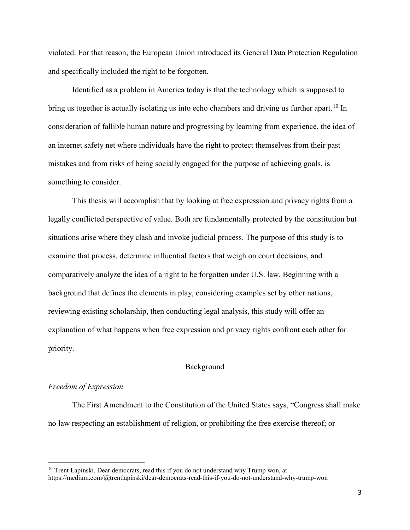violated. For that reason, the European Union introduced its General Data Protection Regulation and specifically included the right to be forgotten.

Identified as a problem in America today is that the technology which is supposed to bring us together is actually isolating us into echo chambers and driving us further apart.<sup>[10](#page-6-2)</sup> In consideration of fallible human nature and progressing by learning from experience, the idea of an internet safety net where individuals have the right to protect themselves from their past mistakes and from risks of being socially engaged for the purpose of achieving goals, is something to consider.

This thesis will accomplish that by looking at free expression and privacy rights from a legally conflicted perspective of value. Both are fundamentally protected by the constitution but situations arise where they clash and invoke judicial process. The purpose of this study is to examine that process, determine influential factors that weigh on court decisions, and comparatively analyze the idea of a right to be forgotten under U.S. law. Beginning with a background that defines the elements in play, considering examples set by other nations, reviewing existing scholarship, then conducting legal analysis, this study will offer an explanation of what happens when free expression and privacy rights confront each other for priority.

#### Background

#### <span id="page-6-1"></span><span id="page-6-0"></span>*Freedom of Expression*

The First Amendment to the Constitution of the United States says, "Congress shall make no law respecting an establishment of religion, or prohibiting the free exercise thereof; or

<span id="page-6-2"></span> $10$  Trent Lapinski, Dear democrats, read this if you do not understand why Trump won, at https://medium.com/@trentlapinski/dear-democrats-read-this-if-you-do-not-understand-why-trump-won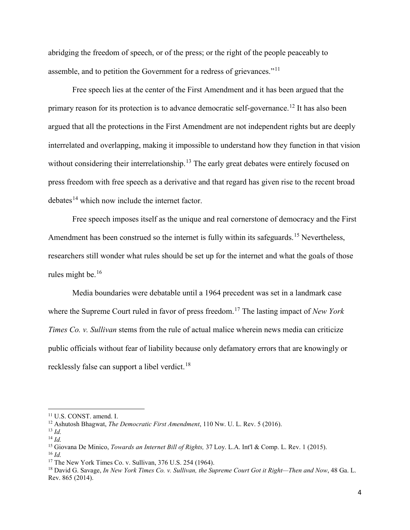abridging the freedom of speech, or of the press; or the right of the people peaceably to assemble, and to petition the Government for a redress of grievances."[11](#page-7-0)

Free speech lies at the center of the First Amendment and it has been argued that the primary reason for its protection is to advance democratic self-governance.<sup>[12](#page-7-1)</sup> It has also been argued that all the protections in the First Amendment are not independent rights but are deeply interrelated and overlapping, making it impossible to understand how they function in that vision without considering their interrelationship.<sup>[13](#page-7-2)</sup> The early great debates were entirely focused on press freedom with free speech as a derivative and that regard has given rise to the recent broad debates<sup>14</sup> which now include the internet factor.

Free speech imposes itself as the unique and real cornerstone of democracy and the First Amendment has been construed so the internet is fully within its safeguards.<sup>[15](#page-7-4)</sup> Nevertheless, researchers still wonder what rules should be set up for the internet and what the goals of those rules might be.[16](#page-7-5)

Media boundaries were debatable until a 1964 precedent was set in a landmark case where the Supreme Court ruled in favor of press freedom.<sup>[17](#page-7-6)</sup> The lasting impact of *New York Times Co. v. Sullivan* stems from the rule of actual malice wherein news media can criticize public officials without fear of liability because only defamatory errors that are knowingly or recklessly false can support a libel verdict.<sup>18</sup>

<span id="page-7-0"></span><sup>11</sup> U.S. CONST. amend. I.

<span id="page-7-1"></span><sup>12</sup> Ashutosh Bhagwat, *The Democratic First Amendment*, 110 Nw. U. L. Rev. 5 (2016).

<span id="page-7-2"></span><sup>13</sup> *Id.*

<span id="page-7-3"></span><sup>14</sup> *Id.*

<span id="page-7-4"></span><sup>15</sup> Giovana De Minico, *Towards an Internet Bill of Rights,* 37 Loy. L.A. Int'l & Comp. L. Rev. 1 (2015). <sup>16</sup> *Id.*

<span id="page-7-6"></span><span id="page-7-5"></span><sup>17</sup> The New York Times Co. v. Sullivan, 376 U.S. 254 (1964).

<span id="page-7-7"></span><sup>18</sup> David G. Savage, *In New York Times Co. v. Sullivan, the Supreme Court Got it Right—Then and Now*, 48 Ga. L. Rev. 865 (2014).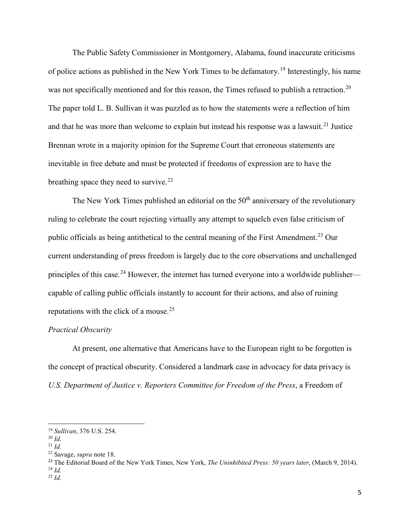The Public Safety Commissioner in Montgomery, Alabama, found inaccurate criticisms of police actions as published in the New York Times to be defamatory.[19](#page-8-1) Interestingly, his name was not specifically mentioned and for this reason, the Times refused to publish a retraction.<sup>[20](#page-8-2)</sup> The paper told L. B. Sullivan it was puzzled as to how the statements were a reflection of him and that he was more than welcome to explain but instead his response was a lawsuit.<sup>[21](#page-8-3)</sup> Justice Brennan wrote in a majority opinion for the Supreme Court that erroneous statements are inevitable in free debate and must be protected if freedoms of expression are to have the breathing space they need to survive.<sup>[22](#page-8-4)</sup>

The New York Times published an editorial on the  $50<sup>th</sup>$  anniversary of the revolutionary ruling to celebrate the court rejecting virtually any attempt to squelch even false criticism of public officials as being antithetical to the central meaning of the First Amendment.[23](#page-8-5) Our current understanding of press freedom is largely due to the core observations and unchallenged principles of this case.<sup>[24](#page-8-6)</sup> However, the internet has turned everyone into a worldwide publisher capable of calling public officials instantly to account for their actions, and also of ruining reputations with the click of a mouse.<sup>[25](#page-8-7)</sup>

#### <span id="page-8-0"></span>*Practical Obscurity*

At present, one alternative that Americans have to the European right to be forgotten is the concept of practical obscurity. Considered a landmark case in advocacy for data privacy is *U.S. Department of Justice v. Reporters Committee for Freedom of the Press*, a Freedom of

 $\overline{a}$ 

<span id="page-8-1"></span><sup>19</sup> *Sullivan*, 376 U.S. 254.

<span id="page-8-2"></span><sup>20</sup> *Id.*

<span id="page-8-3"></span><sup>21</sup> *Id.*

<span id="page-8-4"></span><sup>22</sup> Savage, *supra* note 18.

<span id="page-8-6"></span><span id="page-8-5"></span><sup>23</sup> The Editorial Board of the New York Times, New York, *The Uninhibited Press: 50 years later*, (March 9, 2014). <sup>24</sup> *Id.*

<span id="page-8-7"></span><sup>25</sup> *Id.*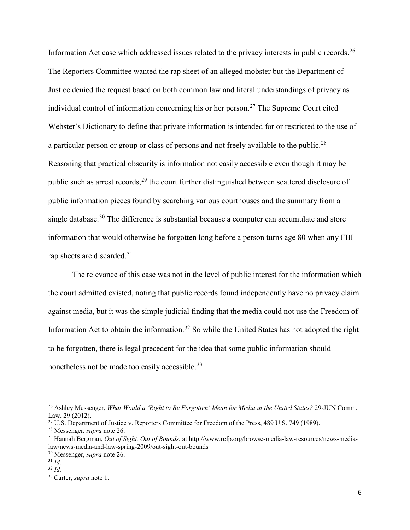Information Act case which addressed issues related to the privacy interests in public records.<sup>[26](#page-9-0)</sup> The Reporters Committee wanted the rap sheet of an alleged mobster but the Department of Justice denied the request based on both common law and literal understandings of privacy as individual control of information concerning his or her person.<sup>[27](#page-9-1)</sup> The Supreme Court cited Webster's Dictionary to define that private information is intended for or restricted to the use of a particular person or group or class of persons and not freely available to the public. $^{28}$  $^{28}$  $^{28}$ Reasoning that practical obscurity is information not easily accessible even though it may be public such as arrest records,<sup>[29](#page-9-3)</sup> the court further distinguished between scattered disclosure of public information pieces found by searching various courthouses and the summary from a single database.<sup>[30](#page-9-4)</sup> The difference is substantial because a computer can accumulate and store information that would otherwise be forgotten long before a person turns age 80 when any FBI rap sheets are discarded.<sup>[31](#page-9-5)</sup>

The relevance of this case was not in the level of public interest for the information which the court admitted existed, noting that public records found independently have no privacy claim against media, but it was the simple judicial finding that the media could not use the Freedom of Information Act to obtain the information.<sup>[32](#page-9-6)</sup> So while the United States has not adopted the right to be forgotten, there is legal precedent for the idea that some public information should nonetheless not be made too easily accessible.<sup>[33](#page-9-7)</sup>

<span id="page-9-0"></span><sup>26</sup> Ashley Messenger, *What Would a 'Right to Be Forgotten' Mean for Media in the United States?* 29-JUN Comm. Law. 29 (2012).

<span id="page-9-1"></span><sup>&</sup>lt;sup>27</sup> U.S. Department of Justice v. Reporters Committee for Freedom of the Press, 489 U.S. 749 (1989).

<span id="page-9-2"></span><sup>28</sup> Messenger, *supra* note 26.

<span id="page-9-3"></span><sup>29</sup> Hannah Bergman, *Out of Sight, Out of Bounds*, at http://www.rcfp.org/browse-media-law-resources/news-medialaw/news-media-and-law-spring-2009/out-sight-out-bounds

<span id="page-9-4"></span><sup>30</sup> Messenger, *supra* note 26.

<span id="page-9-5"></span><sup>31</sup> *Id.*

<span id="page-9-6"></span><sup>32</sup> *Id.*

<span id="page-9-7"></span><sup>33</sup> Carter, *supra* note 1.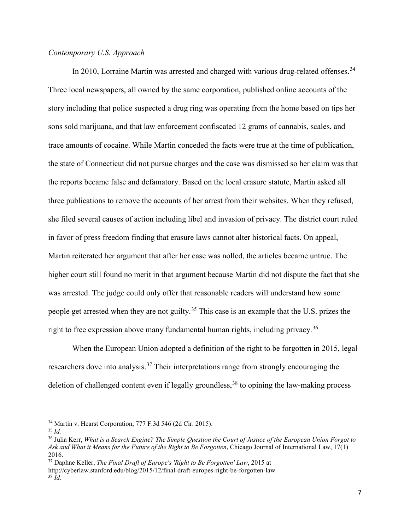#### <span id="page-10-0"></span>*Contemporary U.S. Approach*

In 2010, Lorraine Martin was arrested and charged with various drug-related offenses.<sup>[34](#page-10-1)</sup> Three local newspapers, all owned by the same corporation, published online accounts of the story including that police suspected a drug ring was operating from the home based on tips her sons sold marijuana, and that law enforcement confiscated 12 grams of cannabis, scales, and trace amounts of cocaine. While Martin conceded the facts were true at the time of publication, the state of Connecticut did not pursue charges and the case was dismissed so her claim was that the reports became false and defamatory. Based on the local erasure statute, Martin asked all three publications to remove the accounts of her arrest from their websites. When they refused, she filed several causes of action including libel and invasion of privacy. The district court ruled in favor of press freedom finding that erasure laws cannot alter historical facts. On appeal, Martin reiterated her argument that after her case was nolled, the articles became untrue. The higher court still found no merit in that argument because Martin did not dispute the fact that she was arrested. The judge could only offer that reasonable readers will understand how some people get arrested when they are not guilty.<sup>[35](#page-10-2)</sup> This case is an example that the U.S. prizes the right to free expression above many fundamental human rights, including privacy.<sup>[36](#page-10-3)</sup>

When the European Union adopted a definition of the right to be forgotten in 2015, legal researchers dove into analysis.<sup>[37](#page-10-4)</sup> Their interpretations range from strongly encouraging the deletion of challenged content even if legally groundless,<sup>[38](#page-10-5)</sup> to opining the law-making process

 $\overline{\phantom{a}}$ 

<span id="page-10-5"></span><span id="page-10-4"></span><sup>37</sup> Daphne Keller, *The Final Draft of Europe's 'Right to Be Forgotten' Law*, 2015 at http://cyberlaw.stanford.edu/blog/2015/12/final-draft-europes-right-be-forgotten-law <sup>38</sup> *Id.*

<span id="page-10-1"></span><sup>34</sup> Martin v. Hearst Corporation, 777 F.3d 546 (2d Cir. 2015).

<span id="page-10-2"></span><sup>35</sup> *Id.*

<span id="page-10-3"></span><sup>36</sup> Julia Kerr, *What is a Search Engine? The Simple Question the Court of Justice of the European Union Forgot to Ask and What it Means for the Future of the Right to Be Forgotten*, Chicago Journal of International Law, 17(1) 2016.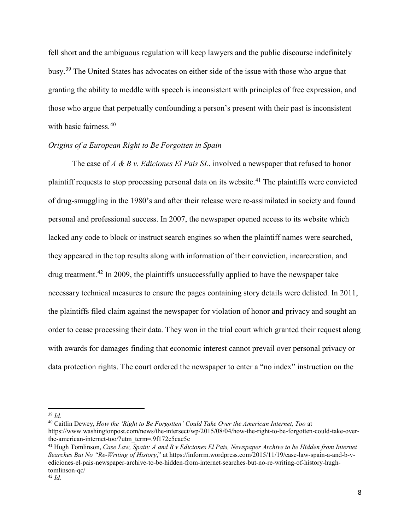fell short and the ambiguous regulation will keep lawyers and the public discourse indefinitely busy.[39](#page-11-1) The United States has advocates on either side of the issue with those who argue that granting the ability to meddle with speech is inconsistent with principles of free expression, and those who argue that perpetually confounding a person's present with their past is inconsistent with basic fairness. [40](#page-11-2)

#### <span id="page-11-0"></span>*Origins of a European Right to Be Forgotten in Spain*

The case of *A & B v. Ediciones El Pais SL*. involved a newspaper that refused to honor plaintiff requests to stop processing personal data on its website.<sup>[41](#page-11-3)</sup> The plaintiffs were convicted of drug-smuggling in the 1980's and after their release were re-assimilated in society and found personal and professional success. In 2007, the newspaper opened access to its website which lacked any code to block or instruct search engines so when the plaintiff names were searched, they appeared in the top results along with information of their conviction, incarceration, and drug treatment.<sup>[42](#page-11-4)</sup> In 2009, the plaintiffs unsuccessfully applied to have the newspaper take necessary technical measures to ensure the pages containing story details were delisted. In 2011, the plaintiffs filed claim against the newspaper for violation of honor and privacy and sought an order to cease processing their data. They won in the trial court which granted their request along with awards for damages finding that economic interest cannot prevail over personal privacy or data protection rights. The court ordered the newspaper to enter a "no index" instruction on the

 $\overline{a}$ 

<span id="page-11-1"></span><sup>39</sup> *Id.*

<span id="page-11-2"></span><sup>40</sup> Caitlin Dewey, *How the 'Right to Be Forgotten' Could Take Over the American Internet, Too* at https://www.washingtonpost.com/news/the-intersect/wp/2015/08/04/how-the-right-to-be-forgotten-could-take-overthe-american-internet-too/?utm\_term=.9f172e5cae5c

<span id="page-11-4"></span><span id="page-11-3"></span><sup>41</sup> Hugh Tomlinson, *Case Law, Spain: A and B v Ediciones El Pais, Newspaper Archive to be Hidden from Internet Searches But No "Re-Writing of History*," at https://inforrm.wordpress.com/2015/11/19/case-law-spain-a-and-b-vediciones-el-pais-newspaper-archive-to-be-hidden-from-internet-searches-but-no-re-writing-of-history-hughtomlinson-qc/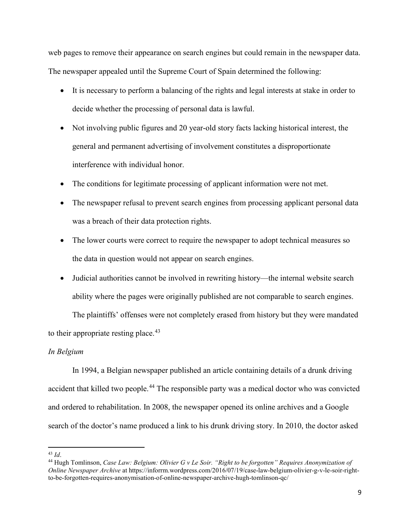web pages to remove their appearance on search engines but could remain in the newspaper data. The newspaper appealed until the Supreme Court of Spain determined the following:

- It is necessary to perform a balancing of the rights and legal interests at stake in order to decide whether the processing of personal data is lawful.
- Not involving public figures and 20 year-old story facts lacking historical interest, the general and permanent advertising of involvement constitutes a disproportionate interference with individual honor.
- The conditions for legitimate processing of applicant information were not met.
- The newspaper refusal to prevent search engines from processing applicant personal data was a breach of their data protection rights.
- The lower courts were correct to require the newspaper to adopt technical measures so the data in question would not appear on search engines.
- Judicial authorities cannot be involved in rewriting history—the internal website search ability where the pages were originally published are not comparable to search engines.

The plaintiffs' offenses were not completely erased from history but they were mandated to their appropriate resting place. $43$ 

### <span id="page-12-0"></span>*In Belgium*

In 1994, a Belgian newspaper published an article containing details of a drunk driving accident that killed two people.<sup>[44](#page-12-2)</sup> The responsible party was a medical doctor who was convicted and ordered to rehabilitation. In 2008, the newspaper opened its online archives and a Google search of the doctor's name produced a link to his drunk driving story. In 2010, the doctor asked

 $\overline{a}$ <sup>43</sup> *Id*.

<span id="page-12-2"></span><span id="page-12-1"></span><sup>44</sup> Hugh Tomlinson, *Case Law: Belgium: Olivier G v Le Soir. "Right to be forgotten" Requires Anonymization of Online Newspaper Archive* at https://inforrm.wordpress.com/2016/07/19/case-law-belgium-olivier-g-v-le-soir-rightto-be-forgotten-requires-anonymisation-of-online-newspaper-archive-hugh-tomlinson-qc/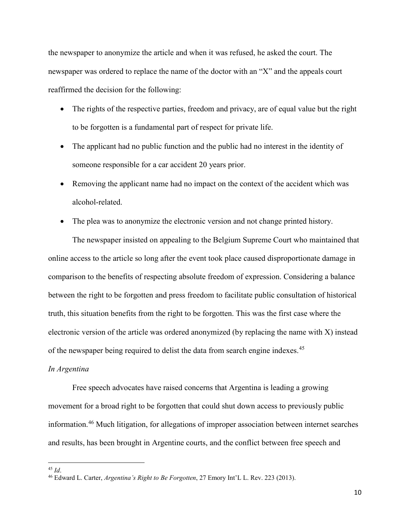the newspaper to anonymize the article and when it was refused, he asked the court. The newspaper was ordered to replace the name of the doctor with an "X" and the appeals court reaffirmed the decision for the following:

- The rights of the respective parties, freedom and privacy, are of equal value but the right to be forgotten is a fundamental part of respect for private life.
- The applicant had no public function and the public had no interest in the identity of someone responsible for a car accident 20 years prior.
- Removing the applicant name had no impact on the context of the accident which was alcohol-related.
- The plea was to anonymize the electronic version and not change printed history.

The newspaper insisted on appealing to the Belgium Supreme Court who maintained that online access to the article so long after the event took place caused disproportionate damage in comparison to the benefits of respecting absolute freedom of expression. Considering a balance between the right to be forgotten and press freedom to facilitate public consultation of historical truth, this situation benefits from the right to be forgotten. This was the first case where the electronic version of the article was ordered anonymized (by replacing the name with X) instead of the newspaper being required to delist the data from search engine indexes.<sup>[45](#page-13-1)</sup>

#### <span id="page-13-0"></span>*In Argentina*

Free speech advocates have raised concerns that Argentina is leading a growing movement for a broad right to be forgotten that could shut down access to previously public information. [46](#page-13-2) Much litigation, for allegations of improper association between internet searches and results, has been brought in Argentine courts, and the conflict between free speech and

<sup>45</sup> *Id*.

<span id="page-13-2"></span><span id="page-13-1"></span><sup>46</sup> Edward L. Carter, *Argentina's Right to Be Forgotten*, 27 Emory Int'L L. Rev. 223 (2013).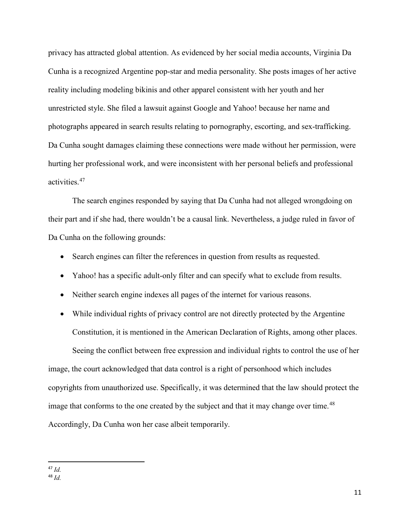privacy has attracted global attention. As evidenced by her social media accounts, Virginia Da Cunha is a recognized Argentine pop-star and media personality. She posts images of her active reality including modeling bikinis and other apparel consistent with her youth and her unrestricted style. She filed a lawsuit against Google and Yahoo! because her name and photographs appeared in search results relating to pornography, escorting, and sex-trafficking. Da Cunha sought damages claiming these connections were made without her permission, were hurting her professional work, and were inconsistent with her personal beliefs and professional activities.[47](#page-14-0)

The search engines responded by saying that Da Cunha had not alleged wrongdoing on their part and if she had, there wouldn't be a causal link. Nevertheless, a judge ruled in favor of Da Cunha on the following grounds:

- Search engines can filter the references in question from results as requested.
- Yahoo! has a specific adult-only filter and can specify what to exclude from results.
- Neither search engine indexes all pages of the internet for various reasons.
- While individual rights of privacy control are not directly protected by the Argentine Constitution, it is mentioned in the American Declaration of Rights, among other places.

Seeing the conflict between free expression and individual rights to control the use of her image, the court acknowledged that data control is a right of personhood which includes copyrights from unauthorized use. Specifically, it was determined that the law should protect the image that conforms to the one created by the subject and that it may change over time.<sup>[48](#page-14-1)</sup> Accordingly, Da Cunha won her case albeit temporarily.

<span id="page-14-0"></span> <sup>47</sup> *Id.*

<span id="page-14-1"></span><sup>48</sup> *Id.*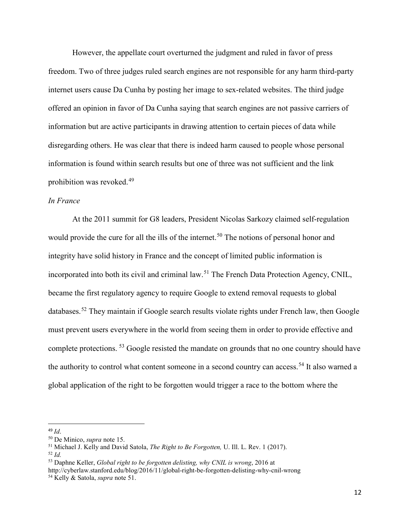However, the appellate court overturned the judgment and ruled in favor of press freedom. Two of three judges ruled search engines are not responsible for any harm third-party internet users cause Da Cunha by posting her image to sex-related websites. The third judge offered an opinion in favor of Da Cunha saying that search engines are not passive carriers of information but are active participants in drawing attention to certain pieces of data while disregarding others. He was clear that there is indeed harm caused to people whose personal information is found within search results but one of three was not sufficient and the link prohibition was revoked.[49](#page-15-1)

#### <span id="page-15-0"></span>*In France*

At the 2011 summit for G8 leaders, President Nicolas Sarkozy claimed self-regulation would provide the cure for all the ills of the internet.<sup>[50](#page-15-2)</sup> The notions of personal honor and integrity have solid history in France and the concept of limited public information is incorporated into both its civil and criminal law.<sup>[51](#page-15-3)</sup> The French Data Protection Agency, CNIL, became the first regulatory agency to require Google to extend removal requests to global databases.<sup>[52](#page-15-4)</sup> They maintain if Google search results violate rights under French law, then Google must prevent users everywhere in the world from seeing them in order to provide effective and complete protections.<sup>[53](#page-15-5)</sup> Google resisted the mandate on grounds that no one country should have the authority to control what content someone in a second country can access.<sup>[54](#page-15-6)</sup> It also warned a global application of the right to be forgotten would trigger a race to the bottom where the

<span id="page-15-1"></span> <sup>49</sup> *Id*.

<span id="page-15-2"></span><sup>50</sup> De Minico, *supra* note 15.

<span id="page-15-3"></span><sup>51</sup> Michael J. Kelly and David Satola, *The Right to Be Forgotten,* U. Ill. L. Rev. 1 (2017).

<span id="page-15-4"></span><sup>52</sup> *Id.*

<span id="page-15-5"></span><sup>53</sup> Daphne Keller, *Global right to be forgotten delisting, why CNIL is wrong*, 2016 at

http://cyberlaw.stanford.edu/blog/2016/11/global-right-be-forgotten-delisting-why-cnil-wrong

<span id="page-15-6"></span><sup>54</sup> Kelly & Satola, *supra* note 51.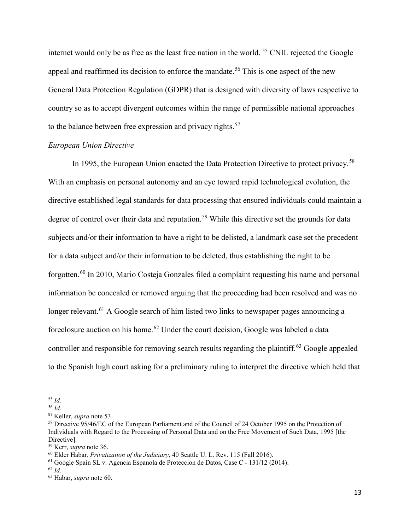internet would only be as free as the least free nation in the world. <sup>[55](#page-16-1)</sup> CNIL rejected the Google appeal and reaffirmed its decision to enforce the mandate.<sup>[56](#page-16-2)</sup> This is one aspect of the new General Data Protection Regulation (GDPR) that is designed with diversity of laws respective to country so as to accept divergent outcomes within the range of permissible national approaches to the balance between free expression and privacy rights.<sup>[57](#page-16-3)</sup>

#### <span id="page-16-0"></span>*European Union Directive*

In 1995, the European Union enacted the Data Protection Directive to protect privacy.<sup>[58](#page-16-4)</sup> With an emphasis on personal autonomy and an eye toward rapid technological evolution, the directive established legal standards for data processing that ensured individuals could maintain a degree of control over their data and reputation.<sup>[59](#page-16-5)</sup> While this directive set the grounds for data subjects and/or their information to have a right to be delisted, a landmark case set the precedent for a data subject and/or their information to be deleted, thus establishing the right to be forgotten.<sup>[60](#page-16-6)</sup> In 2010, Mario Costeja Gonzales filed a complaint requesting his name and personal information be concealed or removed arguing that the proceeding had been resolved and was no longer relevant.<sup>[61](#page-16-7)</sup> A Google search of him listed two links to newspaper pages announcing a foreclosure auction on his home.[62](#page-16-8) Under the court decision, Google was labeled a data controller and responsible for removing search results regarding the plaintiff.<sup>[63](#page-16-9)</sup> Google appealed to the Spanish high court asking for a preliminary ruling to interpret the directive which held that

<span id="page-16-1"></span>l <sup>55</sup> *Id.*

<span id="page-16-2"></span><sup>56</sup> *Id.*

<span id="page-16-3"></span><sup>57</sup> Keller, *supra* note 53.

<span id="page-16-4"></span><sup>58</sup> Directive 95/46/EC of the European Parliament and of the Council of 24 October 1995 on the Protection of Individuals with Regard to the Processing of Personal Data and on the Free Movement of Such Data, 1995 [the Directive].<br><sup>59</sup> Kerr, *supra* note 36.

<span id="page-16-6"></span><span id="page-16-5"></span><sup>&</sup>lt;sup>60</sup> Elder Habar, *Privatization of the Judiciary*, 40 Seattle U. L. Rev. 115 (Fall 2016).

<span id="page-16-7"></span><sup>61</sup> Google Spain SL v. Agencia Espanola de Proteccion de Datos, Case C - 131/12 (2014).

<span id="page-16-8"></span><sup>62</sup> *Id.*

<span id="page-16-9"></span><sup>63</sup> Habar, *supra* note 60.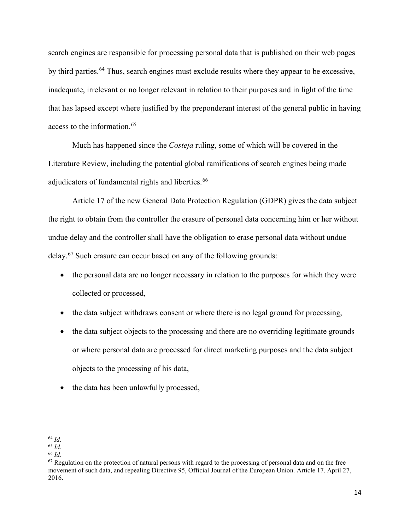search engines are responsible for processing personal data that is published on their web pages by third parties.<sup>[64](#page-17-0)</sup> Thus, search engines must exclude results where they appear to be excessive, inadequate, irrelevant or no longer relevant in relation to their purposes and in light of the time that has lapsed except where justified by the preponderant interest of the general public in having access to the information. [65](#page-17-1)

Much has happened since the *Costeja* ruling, some of which will be covered in the Literature Review, including the potential global ramifications of search engines being made adjudicators of fundamental rights and liberties.<sup>[66](#page-17-2)</sup>

Article 17 of the new General Data Protection Regulation (GDPR) gives the data subject the right to obtain from the controller the erasure of personal data concerning him or her without undue delay and the controller shall have the obligation to erase personal data without undue delay.<sup>[67](#page-17-3)</sup> Such erasure can occur based on any of the following grounds:

- the personal data are no longer necessary in relation to the purposes for which they were collected or processed,
- the data subject withdraws consent or where there is no legal ground for processing,
- the data subject objects to the processing and there are no overriding legitimate grounds or where personal data are processed for direct marketing purposes and the data subject objects to the processing of his data,
- the data has been unlawfully processed,

 $\overline{\phantom{a}}$ <sup>64</sup> *Id.*

<span id="page-17-1"></span><span id="page-17-0"></span><sup>65</sup> *Id.*

<span id="page-17-2"></span><sup>66</sup> *Id.*

<span id="page-17-3"></span> $67$  Regulation on the protection of natural persons with regard to the processing of personal data and on the free movement of such data, and repealing Directive 95, Official Journal of the European Union. Article 17. April 27, 2016.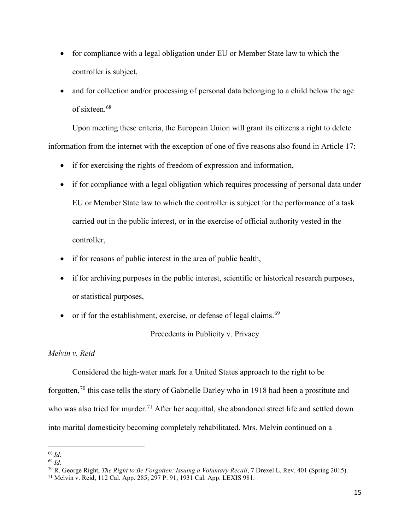- for compliance with a legal obligation under EU or Member State law to which the controller is subject,
- and for collection and/or processing of personal data belonging to a child below the age of sixteen. [68](#page-18-2)

Upon meeting these criteria, the European Union will grant its citizens a right to delete information from the internet with the exception of one of five reasons also found in Article 17:

- if for exercising the rights of freedom of expression and information,
- if for compliance with a legal obligation which requires processing of personal data under EU or Member State law to which the controller is subject for the performance of a task carried out in the public interest, or in the exercise of official authority vested in the controller,
- if for reasons of public interest in the area of public health,
- if for archiving purposes in the public interest, scientific or historical research purposes, or statistical purposes,
- or if for the establishment, exercise, or defense of legal claims.<sup>[69](#page-18-3)</sup>

Precedents in Publicity v. Privacy

#### <span id="page-18-1"></span><span id="page-18-0"></span>*Melvin v. Reid*

Considered the high-water mark for a United States approach to the right to be forgotten,<sup>[70](#page-18-4)</sup> this case tells the story of Gabrielle Darley who in 1918 had been a prostitute and who was also tried for murder.<sup>[71](#page-18-5)</sup> After her acquittal, she abandoned street life and settled down into marital domesticity becoming completely rehabilitated. Mrs. Melvin continued on a

<span id="page-18-2"></span> <sup>68</sup> *Id*.

<span id="page-18-3"></span><sup>69</sup> *Id.*

<span id="page-18-4"></span><sup>70</sup> R. George Right, *The Right to Be Forgotten: Issuing a Voluntary Recall*, 7 Drexel L. Rev. 401 (Spring 2015).

<span id="page-18-5"></span><sup>71</sup> Melvin v. Reid, 112 Cal. App. 285; 297 P. 91; 1931 Cal. App. LEXIS 981.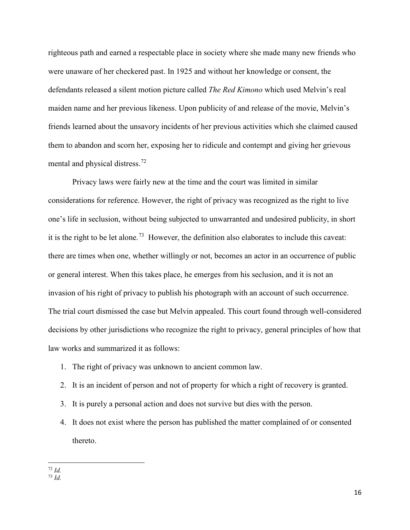righteous path and earned a respectable place in society where she made many new friends who were unaware of her checkered past. In 1925 and without her knowledge or consent, the defendants released a silent motion picture called *The Red Kimono* which used Melvin's real maiden name and her previous likeness. Upon publicity of and release of the movie, Melvin's friends learned about the unsavory incidents of her previous activities which she claimed caused them to abandon and scorn her, exposing her to ridicule and contempt and giving her grievous mental and physical distress.[72](#page-19-0)

Privacy laws were fairly new at the time and the court was limited in similar considerations for reference. However, the right of privacy was recognized as the right to live one's life in seclusion, without being subjected to unwarranted and undesired publicity, in short it is the right to be let alone.<sup>[73](#page-19-1)</sup> However, the definition also elaborates to include this caveat: there are times when one, whether willingly or not, becomes an actor in an occurrence of public or general interest. When this takes place, he emerges from his seclusion, and it is not an invasion of his right of privacy to publish his photograph with an account of such occurrence. The trial court dismissed the case but Melvin appealed. This court found through well-considered decisions by other jurisdictions who recognize the right to privacy, general principles of how that law works and summarized it as follows:

- 1. The right of privacy was unknown to ancient common law.
- 2. It is an incident of person and not of property for which a right of recovery is granted.
- 3. It is purely a personal action and does not survive but dies with the person.
- 4. It does not exist where the person has published the matter complained of or consented thereto.

l <sup>72</sup> *Id.*

<span id="page-19-1"></span><span id="page-19-0"></span><sup>73</sup> *Id.*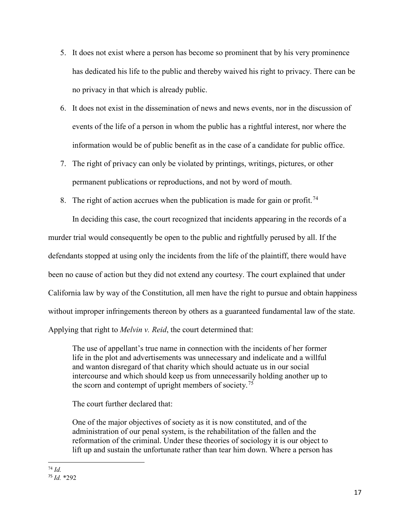- 5. It does not exist where a person has become so prominent that by his very prominence has dedicated his life to the public and thereby waived his right to privacy. There can be no privacy in that which is already public.
- 6. It does not exist in the dissemination of news and news events, nor in the discussion of events of the life of a person in whom the public has a rightful interest, nor where the information would be of public benefit as in the case of a candidate for public office.
- 7. The right of privacy can only be violated by printings, writings, pictures, or other permanent publications or reproductions, and not by word of mouth.
- 8. The right of action accrues when the publication is made for gain or profit.<sup>[74](#page-20-0)</sup>

In deciding this case, the court recognized that incidents appearing in the records of a murder trial would consequently be open to the public and rightfully perused by all. If the defendants stopped at using only the incidents from the life of the plaintiff, there would have been no cause of action but they did not extend any courtesy. The court explained that under California law by way of the Constitution, all men have the right to pursue and obtain happiness without improper infringements thereon by others as a guaranteed fundamental law of the state. Applying that right to *Melvin v. Reid*, the court determined that:

The use of appellant's true name in connection with the incidents of her former life in the plot and advertisements was unnecessary and indelicate and a willful and wanton disregard of that charity which should actuate us in our social intercourse and which should keep us from unnecessarily holding another up to the scorn and contempt of upright members of society.<sup>75</sup>

The court further declared that:

One of the major objectives of society as it is now constituted, and of the administration of our penal system, is the rehabilitation of the fallen and the reformation of the criminal. Under these theories of sociology it is our object to lift up and sustain the unfortunate rather than tear him down. Where a person has

<span id="page-20-1"></span><span id="page-20-0"></span> $\overline{\phantom{a}}$ <sup>74</sup> *Id.* <sup>75</sup> *Id.* \*292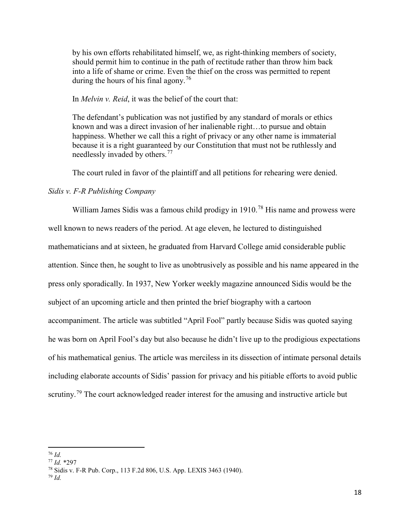by his own efforts rehabilitated himself, we, as right-thinking members of society, should permit him to continue in the path of rectitude rather than throw him back into a life of shame or crime. Even the thief on the cross was permitted to repent during the hours of his final agony.<sup>[76](#page-21-1)</sup>

In *Melvin v. Reid*, it was the belief of the court that:

The defendant's publication was not justified by any standard of morals or ethics known and was a direct invasion of her inalienable right…to pursue and obtain happiness. Whether we call this a right of privacy or any other name is immaterial because it is a right guaranteed by our Constitution that must not be ruthlessly and needlessly invaded by others.<sup>[77](#page-21-2)</sup>

The court ruled in favor of the plaintiff and all petitions for rehearing were denied.

#### <span id="page-21-0"></span>*Sidis v. F-R Publishing Company*

William James Sidis was a famous child prodigy in 1910.<sup>[78](#page-21-3)</sup> His name and prowess were well known to news readers of the period. At age eleven, he lectured to distinguished mathematicians and at sixteen, he graduated from Harvard College amid considerable public attention. Since then, he sought to live as unobtrusively as possible and his name appeared in the press only sporadically. In 1937, New Yorker weekly magazine announced Sidis would be the subject of an upcoming article and then printed the brief biography with a cartoon accompaniment. The article was subtitled "April Fool" partly because Sidis was quoted saying he was born on April Fool's day but also because he didn't live up to the prodigious expectations of his mathematical genius. The article was merciless in its dissection of intimate personal details including elaborate accounts of Sidis' passion for privacy and his pitiable efforts to avoid public scrutiny.<sup>[79](#page-21-4)</sup> The court acknowledged reader interest for the amusing and instructive article but

 $\overline{a}$ <sup>76</sup> *Id.*

<span id="page-21-2"></span><span id="page-21-1"></span><sup>77</sup> *Id.* \*297

<span id="page-21-3"></span><sup>78</sup> Sidis v. F-R Pub. Corp., 113 F.2d 806, U.S. App. LEXIS 3463 (1940).

<span id="page-21-4"></span><sup>79</sup> *Id.*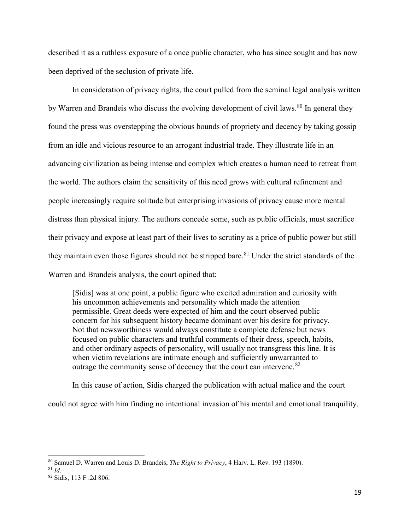described it as a ruthless exposure of a once public character, who has since sought and has now been deprived of the seclusion of private life.

In consideration of privacy rights, the court pulled from the seminal legal analysis written by Warren and Brandeis who discuss the evolving development of civil laws.<sup>[80](#page-22-0)</sup> In general they found the press was overstepping the obvious bounds of propriety and decency by taking gossip from an idle and vicious resource to an arrogant industrial trade. They illustrate life in an advancing civilization as being intense and complex which creates a human need to retreat from the world. The authors claim the sensitivity of this need grows with cultural refinement and people increasingly require solitude but enterprising invasions of privacy cause more mental distress than physical injury. The authors concede some, such as public officials, must sacrifice their privacy and expose at least part of their lives to scrutiny as a price of public power but still they maintain even those figures should not be stripped bare.<sup>[81](#page-22-1)</sup> Under the strict standards of the Warren and Brandeis analysis, the court opined that:

[Sidis] was at one point, a public figure who excited admiration and curiosity with his uncommon achievements and personality which made the attention permissible. Great deeds were expected of him and the court observed public concern for his subsequent history became dominant over his desire for privacy. Not that newsworthiness would always constitute a complete defense but news focused on public characters and truthful comments of their dress, speech, habits, and other ordinary aspects of personality, will usually not transgress this line. It is when victim revelations are intimate enough and sufficiently unwarranted to outrage the community sense of decency that the court can intervene.<sup>[82](#page-22-2)</sup>

In this cause of action, Sidis charged the publication with actual malice and the court could not agree with him finding no intentional invasion of his mental and emotional tranquility.

<span id="page-22-0"></span><sup>80</sup> Samuel D. Warren and Louis D. Brandeis, *The Right to Privacy*, 4 Harv. L. Rev. 193 (1890).

<span id="page-22-1"></span><sup>81</sup> *Id.*

<span id="page-22-2"></span><sup>82</sup> Sidis, 113 F .2d 806.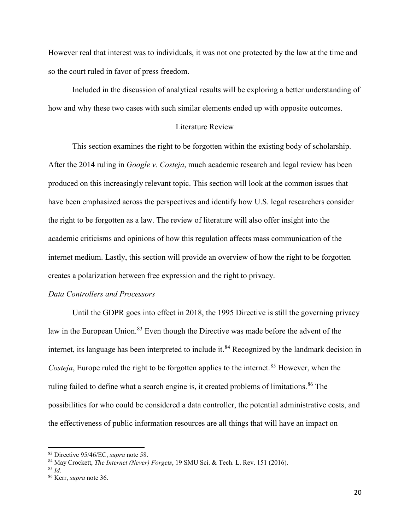However real that interest was to individuals, it was not one protected by the law at the time and so the court ruled in favor of press freedom.

Included in the discussion of analytical results will be exploring a better understanding of how and why these two cases with such similar elements ended up with opposite outcomes.

#### Literature Review

<span id="page-23-0"></span>This section examines the right to be forgotten within the existing body of scholarship. After the 2014 ruling in *Google v. Costeja*, much academic research and legal review has been produced on this increasingly relevant topic. This section will look at the common issues that have been emphasized across the perspectives and identify how U.S. legal researchers consider the right to be forgotten as a law. The review of literature will also offer insight into the academic criticisms and opinions of how this regulation affects mass communication of the internet medium. Lastly, this section will provide an overview of how the right to be forgotten creates a polarization between free expression and the right to privacy.

#### <span id="page-23-1"></span>*Data Controllers and Processors*

Until the GDPR goes into effect in 2018, the 1995 Directive is still the governing privacy law in the European Union.<sup>[83](#page-23-2)</sup> Even though the Directive was made before the advent of the internet, its language has been interpreted to include it. [84](#page-23-3) Recognized by the landmark decision in *Costeja*, Europe ruled the right to be forgotten applies to the internet.<sup>[85](#page-23-4)</sup> However, when the ruling failed to define what a search engine is, it created problems of limitations.<sup>[86](#page-23-5)</sup> The possibilities for who could be considered a data controller, the potential administrative costs, and the effectiveness of public information resources are all things that will have an impact on

 $\overline{a}$ 

<span id="page-23-2"></span><sup>83</sup> Directive 95/46/EC, *supra* note 58.

<span id="page-23-3"></span><sup>84</sup> May Crockett, *The Internet (Never) Forgets*, 19 SMU Sci. & Tech. L. Rev. 151 (2016).

<span id="page-23-4"></span><sup>85</sup> *Id*.

<span id="page-23-5"></span><sup>86</sup> Kerr, *supra* note 36.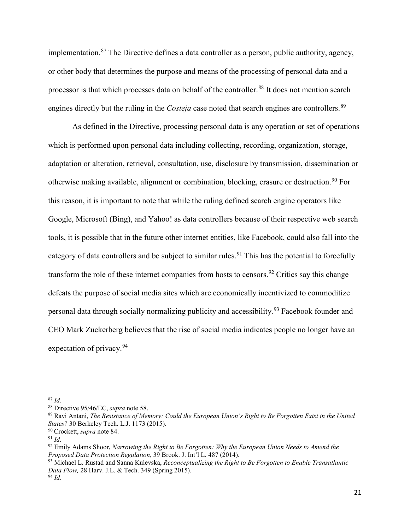implementation.<sup>[87](#page-24-0)</sup> The Directive defines a data controller as a person, public authority, agency, or other body that determines the purpose and means of the processing of personal data and a processor is that which processes data on behalf of the controller.<sup>[88](#page-24-1)</sup> It does not mention search engines directly but the ruling in the *Costeja* case noted that search engines are controllers.<sup>[89](#page-24-2)</sup>

As defined in the Directive, processing personal data is any operation or set of operations which is performed upon personal data including collecting, recording, organization, storage, adaptation or alteration, retrieval, consultation, use, disclosure by transmission, dissemination or otherwise making available, alignment or combination, blocking, erasure or destruction.<sup>[90](#page-24-3)</sup> For this reason, it is important to note that while the ruling defined search engine operators like Google, Microsoft (Bing), and Yahoo! as data controllers because of their respective web search tools, it is possible that in the future other internet entities, like Facebook, could also fall into the category of data controllers and be subject to similar rules.<sup>[91](#page-24-4)</sup> This has the potential to forcefully transform the role of these internet companies from hosts to censors.<sup>[92](#page-24-5)</sup> Critics say this change defeats the purpose of social media sites which are economically incentivized to commoditize personal data through socially normalizing publicity and accessibility.<sup>[93](#page-24-6)</sup> Facebook founder and CEO Mark Zuckerberg believes that the rise of social media indicates people no longer have an expectation of privacy.<sup>[94](#page-24-7)</sup>

<span id="page-24-0"></span><sup>87</sup> *Id.*

<span id="page-24-1"></span><sup>88</sup> Directive 95/46/EC, *supra* note 58.

<span id="page-24-2"></span><sup>89</sup> Ravi Antani, *The Resistance of Memory: Could the European Union's Right to Be Forgotten Exist in the United States?* 30 Berkeley Tech. L.J. 1173 (2015).

<span id="page-24-4"></span><span id="page-24-3"></span><sup>90</sup> Crockett, *supra* note 84. 91 *Id.*

<span id="page-24-5"></span><sup>92</sup> Emily Adams Shoor, *Narrowing the Right to Be Forgotten: Why the European Union Needs to Amend the Proposed Data Protection Regulation*, 39 Brook. J. Int'l L. 487 (2014).

<span id="page-24-7"></span><span id="page-24-6"></span><sup>93</sup> Michael L. Rustad and Sanna Kulevska, *Reconceptualizing the Right to Be Forgotten to Enable Transatlantic Data Flow,* 28 Harv. J.L. & Tech. 349 (Spring 2015). <sup>94</sup> *Id.*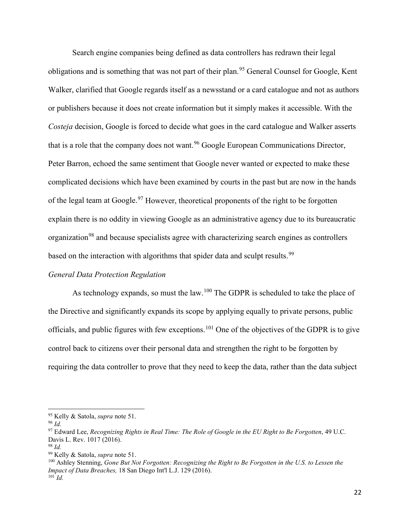Search engine companies being defined as data controllers has redrawn their legal obligations and is something that was not part of their plan.<sup>[95](#page-25-1)</sup> General Counsel for Google, Kent Walker, clarified that Google regards itself as a newsstand or a card catalogue and not as authors or publishers because it does not create information but it simply makes it accessible. With the *Costeja* decision, Google is forced to decide what goes in the card catalogue and Walker asserts that is a role that the company does not want.<sup>[96](#page-25-2)</sup> Google European Communications Director, Peter Barron, echoed the same sentiment that Google never wanted or expected to make these complicated decisions which have been examined by courts in the past but are now in the hands of the legal team at Google.<sup>[97](#page-25-3)</sup> However, theoretical proponents of the right to be forgotten explain there is no oddity in viewing Google as an administrative agency due to its bureaucratic organization<sup>[98](#page-25-4)</sup> and because specialists agree with characterizing search engines as controllers based on the interaction with algorithms that spider data and sculpt results.<sup>[99](#page-25-5)</sup>

#### <span id="page-25-0"></span>*General Data Protection Regulation*

As technology expands, so must the law.<sup>[100](#page-25-6)</sup> The GDPR is scheduled to take the place of the Directive and significantly expands its scope by applying equally to private persons, public officials, and public figures with few exceptions.[101](#page-25-7) One of the objectives of the GDPR is to give control back to citizens over their personal data and strengthen the right to be forgotten by requiring the data controller to prove that they need to keep the data, rather than the data subject

<span id="page-25-1"></span><sup>95</sup> Kelly & Satola, *supra* note 51.

<span id="page-25-2"></span><sup>96</sup> *Id.*

<span id="page-25-3"></span><sup>97</sup> Edward Lee, *Recognizing Rights in Real Time: The Role of Google in the EU Right to Be Forgotten*, 49 U.C. Davis L. Rev. 1017 (2016).

<span id="page-25-5"></span><span id="page-25-4"></span><sup>98</sup> *Id.*

<sup>99</sup> Kelly & Satola, *supra* note 51.

<span id="page-25-7"></span><span id="page-25-6"></span><sup>100</sup> Ashley Stenning, *Gone But Not Forgotten: Recognizing the Right to Be Forgotten in the U.S. to Lessen the Impact of Data Breaches,* 18 San Diego Int'l L.J. 129 (2016).  $^{101}$  *Id.*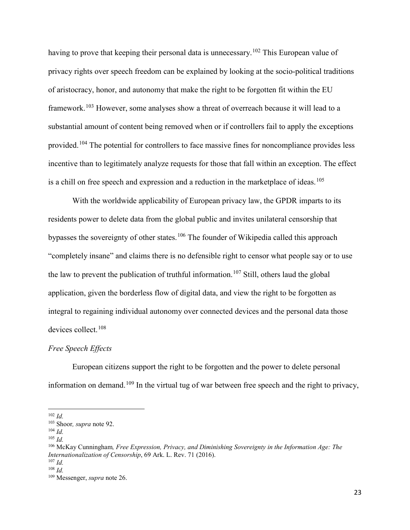having to prove that keeping their personal data is unnecessary.<sup>[102](#page-26-1)</sup> This European value of privacy rights over speech freedom can be explained by looking at the socio-political traditions of aristocracy, honor, and autonomy that make the right to be forgotten fit within the EU framework.<sup>[103](#page-26-2)</sup> However, some analyses show a threat of overreach because it will lead to a substantial amount of content being removed when or if controllers fail to apply the exceptions provided.[104](#page-26-3) The potential for controllers to face massive fines for noncompliance provides less incentive than to legitimately analyze requests for those that fall within an exception. The effect is a chill on free speech and expression and a reduction in the marketplace of ideas.<sup>[105](#page-26-4)</sup>

With the worldwide applicability of European privacy law, the GPDR imparts to its residents power to delete data from the global public and invites unilateral censorship that bypasses the sovereignty of other states.<sup>[106](#page-26-5)</sup> The founder of Wikipedia called this approach "completely insane" and claims there is no defensible right to censor what people say or to use the law to prevent the publication of truthful information.<sup>[107](#page-26-6)</sup> Still, others laud the global application, given the borderless flow of digital data, and view the right to be forgotten as integral to regaining individual autonomy over connected devices and the personal data those devices collect.<sup>[108](#page-26-7)</sup>

#### <span id="page-26-0"></span>*Free Speech Effects*

European citizens support the right to be forgotten and the power to delete personal information on demand.<sup>[109](#page-26-8)</sup> In the virtual tug of war between free speech and the right to privacy,

<span id="page-26-1"></span><sup>102</sup> *Id.*

<span id="page-26-2"></span><sup>103</sup> Shoor*, supra* note 92.

<span id="page-26-3"></span><sup>104</sup> *Id.*

<span id="page-26-4"></span><sup>105</sup> *Id.*

<span id="page-26-5"></span><sup>106</sup> McKay Cunningham*, Free Expression, Privacy, and Diminishing Sovereignty in the Information Age: The Internationalization of Censorship*, 69 Ark. L. Rev. 71 (2016). <sup>107</sup> *Id.*

<span id="page-26-7"></span><span id="page-26-6"></span><sup>108</sup> *Id.*

<span id="page-26-8"></span><sup>109</sup> Messenger, *supra* note 26.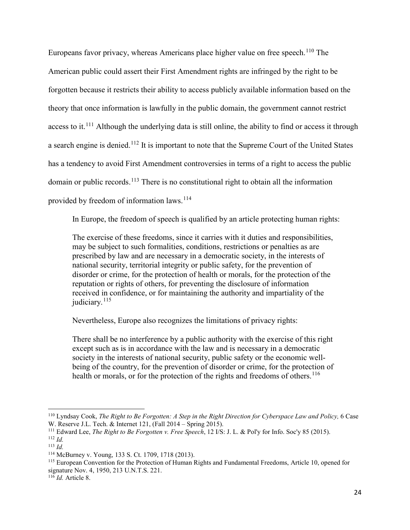Europeans favor privacy, whereas Americans place higher value on free speech.<sup>[110](#page-27-0)</sup> The American public could assert their First Amendment rights are infringed by the right to be forgotten because it restricts their ability to access publicly available information based on the theory that once information is lawfully in the public domain, the government cannot restrict access to it.<sup>[111](#page-27-1)</sup> Although the underlying data is still online, the ability to find or access it through a search engine is denied.[112](#page-27-2) It is important to note that the Supreme Court of the United States has a tendency to avoid First Amendment controversies in terms of a right to access the public domain or public records.<sup>[113](#page-27-3)</sup> There is no constitutional right to obtain all the information provided by freedom of information laws.<sup>[114](#page-27-4)</sup>

In Europe, the freedom of speech is qualified by an article protecting human rights:

The exercise of these freedoms, since it carries with it duties and responsibilities, may be subject to such formalities, conditions, restrictions or penalties as are prescribed by law and are necessary in a democratic society, in the interests of national security, territorial integrity or public safety, for the prevention of disorder or crime, for the protection of health or morals, for the protection of the reputation or rights of others, for preventing the disclosure of information received in confidence, or for maintaining the authority and impartiality of the judiciary. $115$ 

Nevertheless, Europe also recognizes the limitations of privacy rights:

There shall be no interference by a public authority with the exercise of this right except such as is in accordance with the law and is necessary in a democratic society in the interests of national security, public safety or the economic wellbeing of the country, for the prevention of disorder or crime, for the protection of health or morals, or for the protection of the rights and freedoms of others.<sup>[116](#page-27-6)</sup>

<span id="page-27-0"></span><sup>110</sup> Lyndsay Cook, *The Right to Be Forgotten: A Step in the Right Direction for Cyberspace Law and Policy,* 6 Case W. Reserve J.L. Tech. & Internet 121, (Fall 2014 – Spring 2015).

<span id="page-27-2"></span><span id="page-27-1"></span><sup>111</sup> Edward Lee, *The Right to Be Forgotten v. Free Speech*, 12 I/S: J. L. & Pol'y for Info. Soc'y 85 (2015). <sup>112</sup> *Id.*

<span id="page-27-3"></span><sup>&</sup>lt;sup>113</sup> *Id.* **McBurney v. Young, 133 S. Ct. 1709, 1718 (2013). Property** 

<span id="page-27-5"></span><span id="page-27-4"></span><sup>&</sup>lt;sup>115</sup> European Convention for the Protection of Human Rights and Fundamental Freedoms, Article 10, opened for signature Nov. 4, 1950, 213 U.N.T.S. 221.

<span id="page-27-6"></span><sup>116</sup> *Id.* Article 8.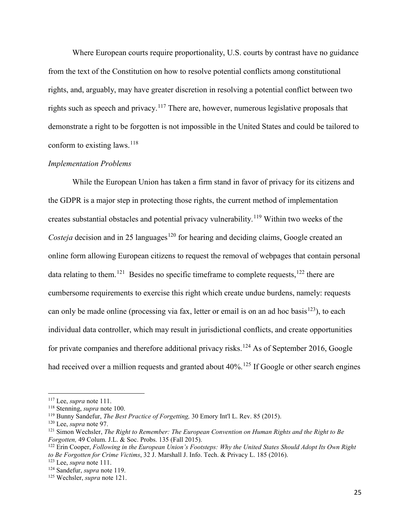Where European courts require proportionality, U.S. courts by contrast have no guidance from the text of the Constitution on how to resolve potential conflicts among constitutional rights, and, arguably, may have greater discretion in resolving a potential conflict between two rights such as speech and privacy.<sup>[117](#page-28-1)</sup> There are, however, numerous legislative proposals that demonstrate a right to be forgotten is not impossible in the United States and could be tailored to conform to existing laws.  $^{118}$  $^{118}$  $^{118}$ 

#### <span id="page-28-0"></span>*Implementation Problems*

While the European Union has taken a firm stand in favor of privacy for its citizens and the GDPR is a major step in protecting those rights, the current method of implementation creates substantial obstacles and potential privacy vulnerability.[119](#page-28-3) Within two weeks of the *Costeja* decision and in 25 languages<sup>[120](#page-28-4)</sup> for hearing and deciding claims, Google created an online form allowing European citizens to request the removal of webpages that contain personal data relating to them.<sup>121</sup> Besides no specific timeframe to complete requests,  $^{122}$  $^{122}$  $^{122}$  there are cumbersome requirements to exercise this right which create undue burdens, namely: requests can only be made online (processing via fax, letter or email is on an ad hoc basis<sup>123</sup>), to each individual data controller, which may result in jurisdictional conflicts, and create opportunities for private companies and therefore additional privacy risks.<sup>[124](#page-28-8)</sup> As of September 2016, Google had received over a million requests and granted about  $40\%$ .<sup>[125](#page-28-9)</sup> If Google or other search engines

<span id="page-28-2"></span><span id="page-28-1"></span><sup>&</sup>lt;sup>117</sup> Lee, *supra* note 111.<br><sup>118</sup> Stenning, *supra* note 100.<br><sup>119</sup> Bunny Sandefur, *The Best Practice of Forgetting*, 30 Emory Int'l L. Rev. 85 (2015).

<span id="page-28-4"></span><span id="page-28-3"></span><sup>120</sup> Lee, *supra* note 97.

<span id="page-28-5"></span><sup>121</sup> Simon Wechsler, *The Right to Remember: The European Convention on Human Rights and the Right to Be Forgotten,* 49 Colum. J.L. & Soc. Probs. 135 (Fall 2015).

<span id="page-28-6"></span><sup>122</sup> Erin Cooper, *Following in the European Union's Footsteps: Why the United States Should Adopt Its Own Right to Be Forgotten for Crime Victims*, 32 J. Marshall J. Info. Tech. & Privacy L. 185 (2016).

<span id="page-28-7"></span><sup>123</sup> Lee, *supra* note 111.

<span id="page-28-8"></span><sup>124</sup> Sandefur, *supra* note 119.

<span id="page-28-9"></span><sup>125</sup> Wechsler, *supra* note 121.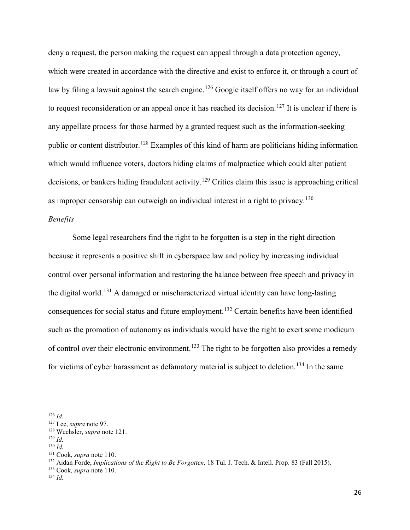deny a request, the person making the request can appeal through a data protection agency, which were created in accordance with the directive and exist to enforce it, or through a court of law by filing a lawsuit against the search engine.<sup>[126](#page-29-1)</sup> Google itself offers no way for an individual to request reconsideration or an appeal once it has reached its decision.<sup>[127](#page-29-2)</sup> It is unclear if there is any appellate process for those harmed by a granted request such as the information-seeking public or content distributor.[128](#page-29-3) Examples of this kind of harm are politicians hiding information which would influence voters, doctors hiding claims of malpractice which could alter patient decisions, or bankers hiding fraudulent activity.<sup>[129](#page-29-4)</sup> Critics claim this issue is approaching critical as improper censorship can outweigh an individual interest in a right to privacy.<sup>[130](#page-29-5)</sup>

#### <span id="page-29-0"></span>*Benefits*

Some legal researchers find the right to be forgotten is a step in the right direction because it represents a positive shift in cyberspace law and policy by increasing individual control over personal information and restoring the balance between free speech and privacy in the digital world.<sup>[131](#page-29-6)</sup> A damaged or mischaracterized virtual identity can have long-lasting consequences for social status and future employment.<sup>[132](#page-29-7)</sup> Certain benefits have been identified such as the promotion of autonomy as individuals would have the right to exert some modicum of control over their electronic environment.<sup>[133](#page-29-8)</sup> The right to be forgotten also provides a remedy for victims of cyber harassment as defamatory material is subject to deletion.<sup>[134](#page-29-9)</sup> In the same

 $\overline{\phantom{a}}$ 

<span id="page-29-4"></span><sup>129</sup> *Id.*

<span id="page-29-1"></span><sup>126</sup> *Id.*

<span id="page-29-2"></span><sup>127</sup> Lee, *supra* note 97.

<span id="page-29-3"></span><sup>128</sup> Wechsler, *supra* note 121.

<span id="page-29-5"></span><sup>130</sup> *Id.*

<span id="page-29-7"></span><span id="page-29-6"></span><sup>&</sup>lt;sup>131</sup> Cook, *supra* note 110.<br><sup>132</sup> Aidan Forde, *Implications of the Right to Be Forgotten*, 18 Tul. J. Tech. & Intell. Prop. 83 (Fall 2015).

<span id="page-29-8"></span><sup>133</sup> Cook*, supra* note 110.

<span id="page-29-9"></span><sup>134</sup> *Id.*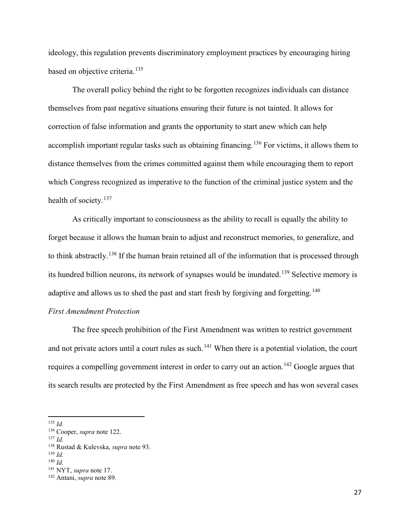ideology, this regulation prevents discriminatory employment practices by encouraging hiring based on objective criteria. [135](#page-30-1)

The overall policy behind the right to be forgotten recognizes individuals can distance themselves from past negative situations ensuring their future is not tainted. It allows for correction of false information and grants the opportunity to start anew which can help accomplish important regular tasks such as obtaining financing.[136](#page-30-2) For victims, it allows them to distance themselves from the crimes committed against them while encouraging them to report which Congress recognized as imperative to the function of the criminal justice system and the health of society.<sup>[137](#page-30-3)</sup>

As critically important to consciousness as the ability to recall is equally the ability to forget because it allows the human brain to adjust and reconstruct memories, to generalize, and to think abstractly.<sup>[138](#page-30-4)</sup> If the human brain retained all of the information that is processed through its hundred billion neurons, its network of synapses would be inundated.[139](#page-30-5) Selective memory is adaptive and allows us to shed the past and start fresh by forgiving and forgetting.<sup>[140](#page-30-6)</sup>

#### <span id="page-30-0"></span>*First Amendment Protection*

The free speech prohibition of the First Amendment was written to restrict government and not private actors until a court rules as such.<sup>[141](#page-30-7)</sup> When there is a potential violation, the court requires a compelling government interest in order to carry out an action.<sup>[142](#page-30-8)</sup> Google argues that its search results are protected by the First Amendment as free speech and has won several cases

<span id="page-30-1"></span><sup>135</sup> *Id.*

<span id="page-30-2"></span><sup>136</sup> Cooper, *supra* note 122.

<span id="page-30-3"></span><sup>137</sup> *Id.*

<span id="page-30-4"></span><sup>138</sup> Rustad & Kulevska, *supra* note 93.

<span id="page-30-5"></span><sup>139</sup> *Id.*

<span id="page-30-6"></span><sup>140</sup> *Id.*

<span id="page-30-7"></span><sup>141</sup> NYT, *supra* note 17.

<span id="page-30-8"></span><sup>142</sup> Antani, *supra* note 89.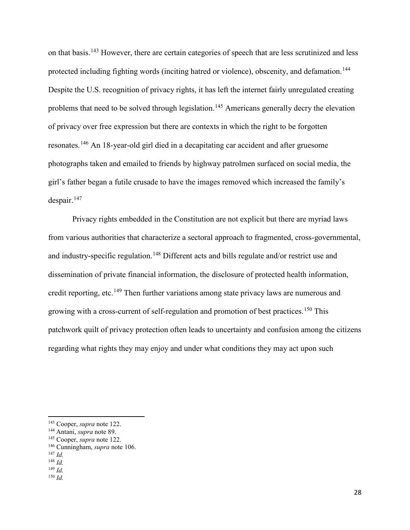on that basis.[143](#page-31-0) However, there are certain categories of speech that are less scrutinized and less protected including fighting words (inciting hatred or violence), obscenity, and defamation.<sup>[144](#page-31-1)</sup> Despite the U.S. recognition of privacy rights, it has left the internet fairly unregulated creating problems that need to be solved through legislation.<sup>[145](#page-31-2)</sup> Americans generally decry the elevation of privacy over free expression but there are contexts in which the right to be forgotten resonates.[146](#page-31-3) An 18-year-old girl died in a decapitating car accident and after gruesome photographs taken and emailed to friends by highway patrolmen surfaced on social media, the girl's father began a futile crusade to have the images removed which increased the family's  $despair.<sup>147</sup>$  $despair.<sup>147</sup>$  $despair.<sup>147</sup>$ 

Privacy rights embedded in the Constitution are not explicit but there are myriad laws from various authorities that characterize a sectoral approach to fragmented, cross-governmental, and industry-specific regulation.<sup>[148](#page-31-5)</sup> Different acts and bills regulate and/or restrict use and dissemination of private financial information, the disclosure of protected health information, credit reporting, etc.<sup>[149](#page-31-6)</sup> Then further variations among state privacy laws are numerous and growing with a cross-current of self-regulation and promotion of best practices.<sup>[150](#page-31-7)</sup> This patchwork quilt of privacy protection often leads to uncertainty and confusion among the citizens regarding what rights they may enjoy and under what conditions they may act upon such

- <span id="page-31-2"></span><sup>145</sup> Cooper, *supra* note 122.
- <span id="page-31-3"></span><sup>146</sup> Cunningham, *supra* note 106.

<span id="page-31-0"></span><sup>143</sup> Cooper, *supra* note 122.

<span id="page-31-1"></span><sup>144</sup> Antani, *supra* note 89.

<span id="page-31-4"></span><sup>147</sup> *Id.*

<span id="page-31-5"></span><sup>148</sup> *Id.*

<span id="page-31-7"></span><span id="page-31-6"></span><sup>149</sup> *Id.* <sup>150</sup> *Id.*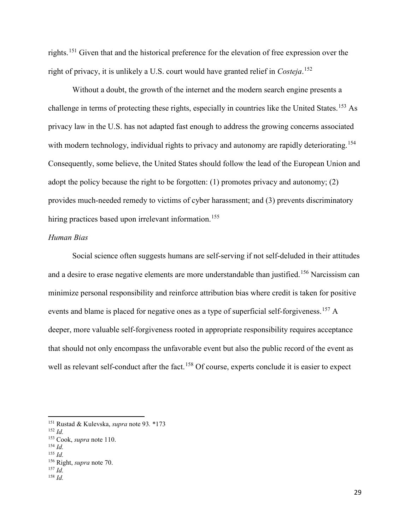rights.[151](#page-32-1) Given that and the historical preference for the elevation of free expression over the right of privacy, it is unlikely a U.S. court would have granted relief in *Costeja*. [152](#page-32-2)

Without a doubt, the growth of the internet and the modern search engine presents a challenge in terms of protecting these rights, especially in countries like the United States.<sup>[153](#page-32-3)</sup> As privacy law in the U.S. has not adapted fast enough to address the growing concerns associated with modern technology, individual rights to privacy and autonomy are rapidly deteriorating.<sup>[154](#page-32-4)</sup> Consequently, some believe, the United States should follow the lead of the European Union and adopt the policy because the right to be forgotten: (1) promotes privacy and autonomy; (2) provides much-needed remedy to victims of cyber harassment; and (3) prevents discriminatory hiring practices based upon irrelevant information.<sup>[155](#page-32-5)</sup>

#### <span id="page-32-0"></span>*Human Bias*

Social science often suggests humans are self-serving if not self-deluded in their attitudes and a desire to erase negative elements are more understandable than justified.<sup>[156](#page-32-6)</sup> Narcissism can minimize personal responsibility and reinforce attribution bias where credit is taken for positive events and blame is placed for negative ones as a type of superficial self-forgiveness.<sup>[157](#page-32-7)</sup> A deeper, more valuable self-forgiveness rooted in appropriate responsibility requires acceptance that should not only encompass the unfavorable event but also the public record of the event as well as relevant self-conduct after the fact.<sup>[158](#page-32-8)</sup> Of course, experts conclude it is easier to expect

l

<span id="page-32-5"></span><span id="page-32-4"></span><sup>155</sup> *Id.*

<span id="page-32-1"></span><sup>151</sup> Rustad & Kulevska, *supra* note 93*.* \*173

<span id="page-32-2"></span><sup>152</sup> *Id.*

<span id="page-32-3"></span><sup>153</sup> Cook, *supra* note 110. 154 *Id.*

<sup>156</sup> Right, *supra* note 70.

<span id="page-32-7"></span><span id="page-32-6"></span><sup>157</sup> *Id.*

<span id="page-32-8"></span><sup>158</sup> *Id.*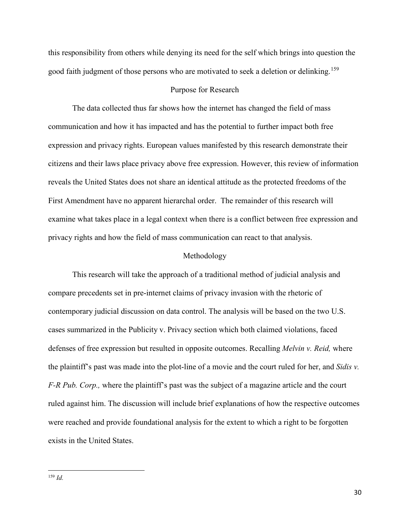this responsibility from others while denying its need for the self which brings into question the good faith judgment of those persons who are motivated to seek a deletion or delinking. [159](#page-33-2)

#### Purpose for Research

<span id="page-33-0"></span>The data collected thus far shows how the internet has changed the field of mass communication and how it has impacted and has the potential to further impact both free expression and privacy rights. European values manifested by this research demonstrate their citizens and their laws place privacy above free expression. However, this review of information reveals the United States does not share an identical attitude as the protected freedoms of the First Amendment have no apparent hierarchal order. The remainder of this research will examine what takes place in a legal context when there is a conflict between free expression and privacy rights and how the field of mass communication can react to that analysis.

#### Methodology

<span id="page-33-1"></span>This research will take the approach of a traditional method of judicial analysis and compare precedents set in pre-internet claims of privacy invasion with the rhetoric of contemporary judicial discussion on data control. The analysis will be based on the two U.S. cases summarized in the Publicity v. Privacy section which both claimed violations, faced defenses of free expression but resulted in opposite outcomes. Recalling *Melvin v. Reid,* where the plaintiff's past was made into the plot-line of a movie and the court ruled for her, and *Sidis v. F-R Pub. Corp.,* where the plaintiff's past was the subject of a magazine article and the court ruled against him. The discussion will include brief explanations of how the respective outcomes were reached and provide foundational analysis for the extent to which a right to be forgotten exists in the United States.

<span id="page-33-2"></span> $\overline{a}$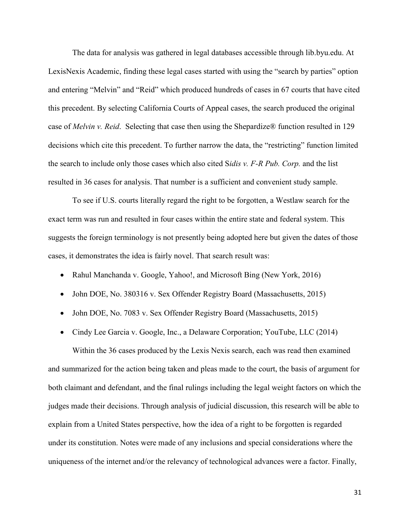The data for analysis was gathered in legal databases accessible through lib.byu.edu. At LexisNexis Academic, finding these legal cases started with using the "search by parties" option and entering "Melvin" and "Reid" which produced hundreds of cases in 67 courts that have cited this precedent. By selecting California Courts of Appeal cases, the search produced the original case of *Melvin v. Reid*. Selecting that case then using the Shepardize® function resulted in 129 decisions which cite this precedent. To further narrow the data, the "restricting" function limited the search to include only those cases which also cited S*idis v. F-R Pub. Corp.* and the list resulted in 36 cases for analysis. That number is a sufficient and convenient study sample.

To see if U.S. courts literally regard the right to be forgotten, a Westlaw search for the exact term was run and resulted in four cases within the entire state and federal system. This suggests the foreign terminology is not presently being adopted here but given the dates of those cases, it demonstrates the idea is fairly novel. That search result was:

- Rahul Manchanda v. Google, Yahoo!, and Microsoft Bing (New York, 2016)
- John DOE, No. 380316 v. Sex Offender Registry Board (Massachusetts, 2015)
- John DOE, No. 7083 v. Sex Offender Registry Board (Massachusetts, 2015)
- Cindy Lee Garcia v. Google, Inc., a Delaware Corporation; YouTube, LLC (2014)

Within the 36 cases produced by the Lexis Nexis search, each was read then examined and summarized for the action being taken and pleas made to the court, the basis of argument for both claimant and defendant, and the final rulings including the legal weight factors on which the judges made their decisions. Through analysis of judicial discussion, this research will be able to explain from a United States perspective, how the idea of a right to be forgotten is regarded under its constitution. Notes were made of any inclusions and special considerations where the uniqueness of the internet and/or the relevancy of technological advances were a factor. Finally,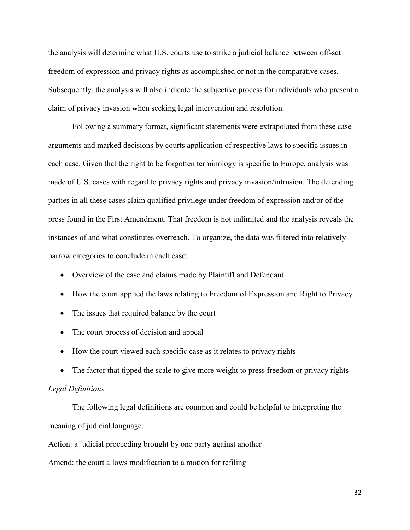the analysis will determine what U.S. courts use to strike a judicial balance between off-set freedom of expression and privacy rights as accomplished or not in the comparative cases. Subsequently, the analysis will also indicate the subjective process for individuals who present a claim of privacy invasion when seeking legal intervention and resolution.

Following a summary format, significant statements were extrapolated from these case arguments and marked decisions by courts application of respective laws to specific issues in each case. Given that the right to be forgotten terminology is specific to Europe, analysis was made of U.S. cases with regard to privacy rights and privacy invasion/intrusion. The defending parties in all these cases claim qualified privilege under freedom of expression and/or of the press found in the First Amendment. That freedom is not unlimited and the analysis reveals the instances of and what constitutes overreach. To organize, the data was filtered into relatively narrow categories to conclude in each case:

- Overview of the case and claims made by Plaintiff and Defendant
- How the court applied the laws relating to Freedom of Expression and Right to Privacy
- The issues that required balance by the court
- The court process of decision and appeal
- How the court viewed each specific case as it relates to privacy rights
- The factor that tipped the scale to give more weight to press freedom or privacy rights

#### <span id="page-35-0"></span>*Legal Definitions*

The following legal definitions are common and could be helpful to interpreting the meaning of judicial language.

Action: a judicial proceeding brought by one party against another

Amend: the court allows modification to a motion for refiling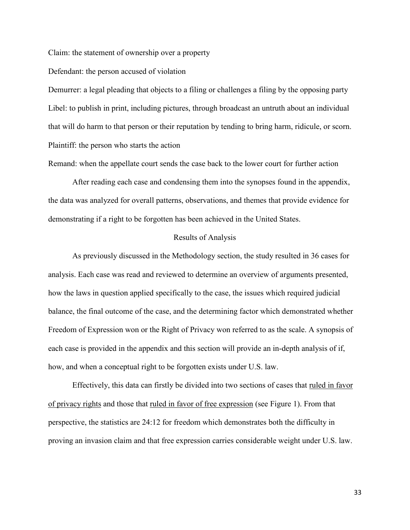Claim: the statement of ownership over a property

Defendant: the person accused of violation

Demurrer: a legal pleading that objects to a filing or challenges a filing by the opposing party Libel: to publish in print, including pictures, through broadcast an untruth about an individual that will do harm to that person or their reputation by tending to bring harm, ridicule, or scorn. Plaintiff: the person who starts the action

Remand: when the appellate court sends the case back to the lower court for further action

After reading each case and condensing them into the synopses found in the appendix, the data was analyzed for overall patterns, observations, and themes that provide evidence for demonstrating if a right to be forgotten has been achieved in the United States.

#### Results of Analysis

<span id="page-36-0"></span>As previously discussed in the Methodology section, the study resulted in 36 cases for analysis. Each case was read and reviewed to determine an overview of arguments presented, how the laws in question applied specifically to the case, the issues which required judicial balance, the final outcome of the case, and the determining factor which demonstrated whether Freedom of Expression won or the Right of Privacy won referred to as the scale. A synopsis of each case is provided in the appendix and this section will provide an in-depth analysis of if, how, and when a conceptual right to be forgotten exists under U.S. law.

Effectively, this data can firstly be divided into two sections of cases that ruled in favor of privacy rights and those that ruled in favor of free expression [\(see Figure 1\).](#page-52-2) From that perspective, the statistics are 24:12 for freedom which demonstrates both the difficulty in proving an invasion claim and that free expression carries considerable weight under U.S. law.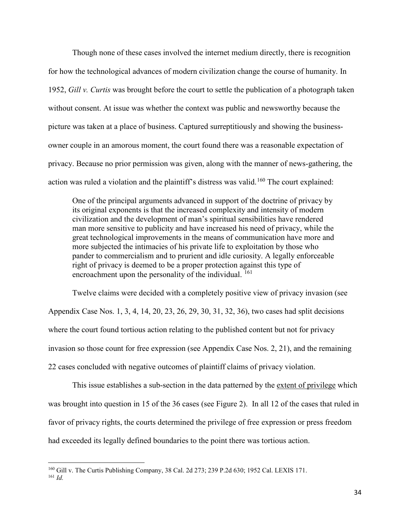Though none of these cases involved the internet medium directly, there is recognition for how the technological advances of modern civilization change the course of humanity. In 1952, *Gill v. Curtis* was brought before the court to settle the publication of a photograph taken without consent. At issue was whether the context was public and newsworthy because the picture was taken at a place of business. Captured surreptitiously and showing the businessowner couple in an amorous moment, the court found there was a reasonable expectation of privacy. Because no prior permission was given, along with the manner of news-gathering, the action was ruled a violation and the plaintiff's distress was valid.<sup>[160](#page-37-0)</sup> The court explained:

One of the principal arguments advanced in support of the doctrine of privacy by its original exponents is that the increased complexity and intensity of modern civilization and the development of man's spiritual sensibilities have rendered man more sensitive to publicity and have increased his need of privacy, while the great technological improvements in the means of communication have more and more subjected the intimacies of his private life to exploitation by those who pander to commercialism and to prurient and idle curiosity. A legally enforceable right of privacy is deemed to be a proper protection against this type of encroachment upon the personality of the individual. <sup>[161](#page-37-1)</sup>

Twelve claims were decided with a completely positive view of privacy invasion (see [Appendix Case Nos.](#page-53-1) 1, 3, 4, 14, 20, 23, 26, 29, 30, 31, 32, 36), two cases had split decisions where the court found tortious action relating to the published content but not for privacy invasion so those count for free expression (see [Appendix Case Nos.](#page-53-1) 2, 21), and the remaining 22 cases concluded with negative outcomes of plaintiff claims of privacy violation.

This issue establishes a sub-section in the data patterned by the <u>extent of privilege</u> which was brought into question in 15 of the 36 cases [\(see Figure 2\).](#page-52-2) In all 12 of the cases that ruled in favor of privacy rights, the courts determined the privilege of free expression or press freedom had exceeded its legally defined boundaries to the point there was tortious action.

<span id="page-37-1"></span><span id="page-37-0"></span><sup>160</sup> Gill v. The Curtis Publishing Company, 38 Cal. 2d 273; 239 P.2d 630; 1952 Cal. LEXIS 171. <sup>161</sup> *Id.*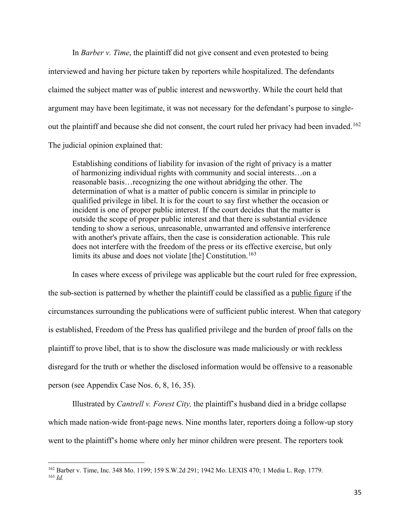In *Barber v. Time*, the plaintiff did not give consent and even protested to being interviewed and having her picture taken by reporters while hospitalized. The defendants claimed the subject matter was of public interest and newsworthy. While the court held that argument may have been legitimate, it was not necessary for the defendant's purpose to single-out the plaintiff and because she did not consent, the court ruled her privacy had been invaded.<sup>[162](#page-38-0)</sup> The judicial opinion explained that:

Establishing conditions of liability for invasion of the right of privacy is a matter of harmonizing individual rights with community and social interests…on a reasonable basis…recognizing the one without abridging the other. The determination of what is a matter of public concern is similar in principle to qualified privilege in libel. It is for the court to say first whether the occasion or incident is one of proper public interest. If the court decides that the matter is outside the scope of proper public interest and that there is substantial evidence tending to show a serious, unreasonable, unwarranted and offensive interference with another's private affairs, then the case is consideration actionable. This rule does not interfere with the freedom of the press or its effective exercise, but only limits its abuse and does not violate  $[the]$  Constitution.<sup>[163](#page-38-1)</sup>

In cases where excess of privilege was applicable but the court ruled for free expression, the sub-section is patterned by whether the plaintiff could be classified as a public figure if the circumstances surrounding the publications were of sufficient public interest. When that category is established, Freedom of the Press has qualified privilege and the burden of proof falls on the plaintiff to prove libel, that is to show the disclosure was made maliciously or with reckless disregard for the truth or whether the disclosed information would be offensive to a reasonable person (see [Appendix Case Nos.](#page-53-1) 6, 8, 16, 35).

Illustrated by *Cantrell v. Forest City,* the plaintiff's husband died in a bridge collapse which made nation-wide front-page news. Nine months later, reporters doing a follow-up story went to the plaintiff's home where only her minor children were present. The reporters took

<span id="page-38-1"></span><span id="page-38-0"></span><sup>162</sup> Barber v. Time, Inc. 348 Mo. 1199; 159 S.W.2d 291; 1942 Mo. LEXIS 470; 1 Media L. Rep. 1779. <sup>163</sup> *Id.*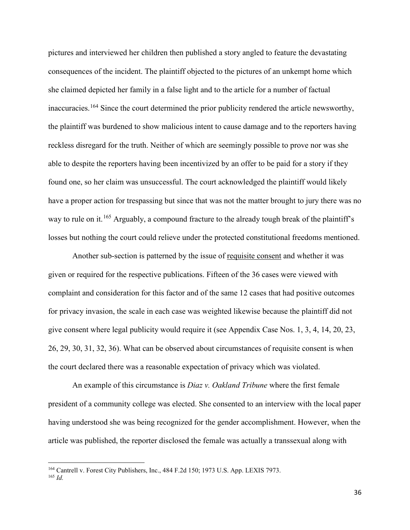pictures and interviewed her children then published a story angled to feature the devastating consequences of the incident. The plaintiff objected to the pictures of an unkempt home which she claimed depicted her family in a false light and to the article for a number of factual inaccuracies.<sup>[164](#page-39-0)</sup> Since the court determined the prior publicity rendered the article newsworthy, the plaintiff was burdened to show malicious intent to cause damage and to the reporters having reckless disregard for the truth. Neither of which are seemingly possible to prove nor was she able to despite the reporters having been incentivized by an offer to be paid for a story if they found one, so her claim was unsuccessful. The court acknowledged the plaintiff would likely have a proper action for trespassing but since that was not the matter brought to jury there was no way to rule on it.<sup>[165](#page-39-1)</sup> Arguably, a compound fracture to the already tough break of the plaintiff's losses but nothing the court could relieve under the protected constitutional freedoms mentioned.

Another sub-section is patterned by the issue of requisite consent and whether it was given or required for the respective publications. Fifteen of the 36 cases were viewed with complaint and consideration for this factor and of the same 12 cases that had positive outcomes for privacy invasion, the scale in each case was weighted likewise because the plaintiff did not give consent where legal publicity would require it (see [Appendix Case Nos. 1](#page-53-1), 3, 4, 14, 20, 23, 26, 29, 30, 31, 32, 36). What can be observed about circumstances of requisite consent is when the court declared there was a reasonable expectation of privacy which was violated.

An example of this circumstance is *Diaz v. Oakland Tribune* where the first female president of a community college was elected. She consented to an interview with the local paper having understood she was being recognized for the gender accomplishment. However, when the article was published, the reporter disclosed the female was actually a transsexual along with

<span id="page-39-1"></span><span id="page-39-0"></span><sup>&</sup>lt;sup>164</sup> Cantrell v. Forest City Publishers, Inc., 484 F.2d 150; 1973 U.S. App. LEXIS 7973. <sup>165</sup> *Id.*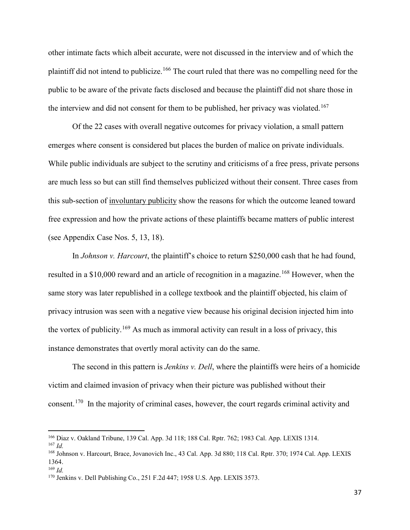other intimate facts which albeit accurate, were not discussed in the interview and of which the plaintiff did not intend to publicize.<sup>[166](#page-40-0)</sup> The court ruled that there was no compelling need for the public to be aware of the private facts disclosed and because the plaintiff did not share those in the interview and did not consent for them to be published, her privacy was violated.<sup>[167](#page-40-1)</sup>

Of the 22 cases with overall negative outcomes for privacy violation, a small pattern emerges where consent is considered but places the burden of malice on private individuals. While public individuals are subject to the scrutiny and criticisms of a free press, private persons are much less so but can still find themselves publicized without their consent. Three cases from this sub-section of involuntary publicity show the reasons for which the outcome leaned toward free expression and how the private actions of these plaintiffs became matters of public interest (see [Appendix Case Nos.](#page-53-1) 5, 13, 18).

In *Johnson v. Harcourt*, the plaintiff's choice to return \$250,000 cash that he had found, resulted in a \$10,000 reward and an article of recognition in a magazine.<sup>[168](#page-40-2)</sup> However, when the same story was later republished in a college textbook and the plaintiff objected, his claim of privacy intrusion was seen with a negative view because his original decision injected him into the vortex of publicity.<sup>[169](#page-40-3)</sup> As much as immoral activity can result in a loss of privacy, this instance demonstrates that overtly moral activity can do the same.

The second in this pattern is *Jenkins v. Dell*, where the plaintiffs were heirs of a homicide victim and claimed invasion of privacy when their picture was published without their consent.[170](#page-40-4) In the majority of criminal cases, however, the court regards criminal activity and

<span id="page-40-0"></span><sup>166</sup> Diaz v. Oakland Tribune, 139 Cal. App. 3d 118; 188 Cal. Rptr. 762; 1983 Cal. App. LEXIS 1314.

<span id="page-40-1"></span><sup>167</sup> *Id.*

<span id="page-40-2"></span><sup>168</sup> Johnson v. Harcourt, Brace, Jovanovich Inc., 43 Cal. App. 3d 880; 118 Cal. Rptr. 370; 1974 Cal. App. LEXIS 1364.

<span id="page-40-3"></span><sup>169</sup> *Id.*

<span id="page-40-4"></span><sup>170</sup> Jenkins v. Dell Publishing Co., 251 F.2d 447; 1958 U.S. App. LEXIS 3573.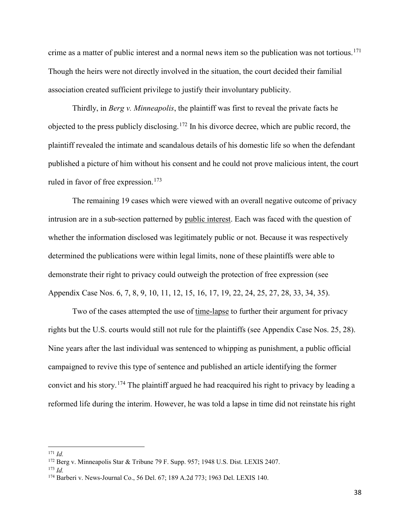crime as a matter of public interest and a normal news item so the publication was not tortious. [171](#page-41-0) Though the heirs were not directly involved in the situation, the court decided their familial association created sufficient privilege to justify their involuntary publicity.

Thirdly, in *Berg v. Minneapolis*, the plaintiff was first to reveal the private facts he objected to the press publicly disclosing.<sup>[172](#page-41-1)</sup> In his divorce decree, which are public record, the plaintiff revealed the intimate and scandalous details of his domestic life so when the defendant published a picture of him without his consent and he could not prove malicious intent, the court ruled in favor of free expression. [173](#page-41-2)

The remaining 19 cases which were viewed with an overall negative outcome of privacy intrusion are in a sub-section patterned by public interest. Each was faced with the question of whether the information disclosed was legitimately public or not. Because it was respectively determined the publications were within legal limits, none of these plaintiffs were able to demonstrate their right to privacy could outweigh the protection of free expression (see [Appendix Case Nos.](#page-53-1) 6, 7, 8, 9, 10, 11, 12, 15, 16, 17, 19, 22, 24, 25, 27, 28, 33, 34, 35).

Two of the cases attempted the use of time-lapse to further their argument for privacy rights but the U.S. courts would still not rule for the plaintiffs (see [Appendix Case Nos.](#page-53-1) 25, 28). Nine years after the last individual was sentenced to whipping as punishment, a public official campaigned to revive this type of sentence and published an article identifying the former convict and his story.<sup>[174](#page-41-3)</sup> The plaintiff argued he had reacquired his right to privacy by leading a reformed life during the interim. However, he was told a lapse in time did not reinstate his right

<span id="page-41-0"></span>l <sup>171</sup> *Id.*

<span id="page-41-1"></span><sup>172</sup> Berg v. Minneapolis Star & Tribune 79 F. Supp. 957; 1948 U.S. Dist. LEXIS 2407.

<span id="page-41-2"></span><sup>173</sup> *Id.* 

<span id="page-41-3"></span><sup>174</sup> Barberi v. News-Journal Co., 56 Del. 67; 189 A.2d 773; 1963 Del. LEXIS 140.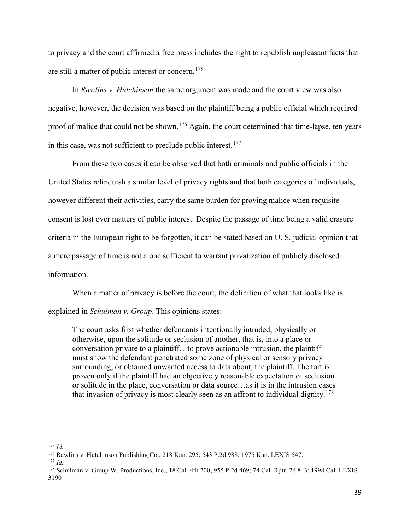to privacy and the court affirmed a free press includes the right to republish unpleasant facts that are still a matter of public interest or concern.<sup>[175](#page-42-0)</sup>

In *Rawlins v. Hutchinson* the same argument was made and the court view was also negative, however, the decision was based on the plaintiff being a public official which required proof of malice that could not be shown.<sup>[176](#page-42-1)</sup> Again, the court determined that time-lapse, ten years in this case, was not sufficient to preclude public interest. $177$ 

From these two cases it can be observed that both criminals and public officials in the United States relinquish a similar level of privacy rights and that both categories of individuals, however different their activities, carry the same burden for proving malice when requisite consent is lost over matters of public interest. Despite the passage of time being a valid erasure criteria in the European right to be forgotten, it can be stated based on U. S. judicial opinion that a mere passage of time is not alone sufficient to warrant privatization of publicly disclosed information.

When a matter of privacy is before the court, the definition of what that looks like is explained in *Schulman v. Group*. This opinions states:

The court asks first whether defendants intentionally intruded, physically or otherwise, upon the solitude or seclusion of another, that is, into a place or conversation private to a plaintiff…to prove actionable intrusion, the plaintiff must show the defendant penetrated some zone of physical or sensory privacy surrounding, or obtained unwanted access to data about, the plaintiff. The tort is proven only if the plaintiff had an objectively reasonable expectation of seclusion or solitude in the place, conversation or data source…as it is in the intrusion cases that invasion of privacy is most clearly seen as an affront to individual dignity.<sup>[178](#page-42-3)</sup>

<span id="page-42-0"></span><sup>175</sup> *Id.*

<span id="page-42-1"></span><sup>176</sup> Rawlins v. Hutchinson Publishing Co., 218 Kan. 295; 543 P.2d 988; 1975 Kan. LEXIS 547.

<span id="page-42-2"></span><sup>177</sup> *Id.*

<span id="page-42-3"></span><sup>178</sup> Schulman v. Group W. Productions, Inc., 18 Cal. 4th 200; 955 P.2d 469; 74 Cal. Rptr. 2d 843; 1998 Cal. LEXIS 3190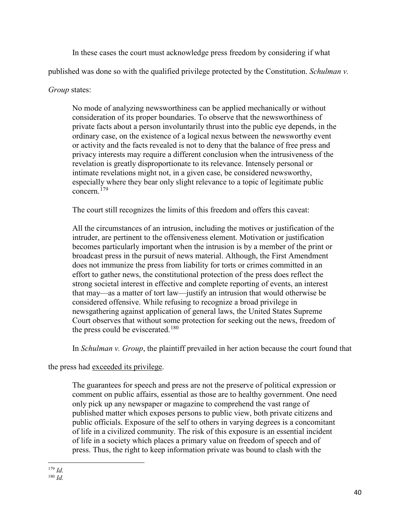In these cases the court must acknowledge press freedom by considering if what

published was done so with the qualified privilege protected by the Constitution. *Schulman v.* 

*Group* states:

No mode of analyzing newsworthiness can be applied mechanically or without consideration of its proper boundaries. To observe that the newsworthiness of private facts about a person involuntarily thrust into the public eye depends, in the ordinary case, on the existence of a logical nexus between the newsworthy event or activity and the facts revealed is not to deny that the balance of free press and privacy interests may require a different conclusion when the intrusiveness of the revelation is greatly disproportionate to its relevance. Intensely personal or intimate revelations might not, in a given case, be considered newsworthy, especially where they bear only slight relevance to a topic of legitimate public  $\frac{1}{2}$ concern.<sup>[179](#page-43-0)</sup>

The court still recognizes the limits of this freedom and offers this caveat:

All the circumstances of an intrusion, including the motives or justification of the intruder, are pertinent to the offensiveness element. Motivation or justification becomes particularly important when the intrusion is by a member of the print or broadcast press in the pursuit of news material. Although, the First Amendment does not immunize the press from liability for torts or crimes committed in an effort to gather news, the constitutional protection of the press does reflect the strong societal interest in effective and complete reporting of events, an interest that may—as a matter of tort law—justify an intrusion that would otherwise be considered offensive. While refusing to recognize a broad privilege in newsgathering against application of general laws, the United States Supreme Court observes that without some protection for seeking out the news, freedom of the press could be eviscerated.<sup>[180](#page-43-1)</sup>

In *Schulman v. Group*, the plaintiff prevailed in her action because the court found that

the press had exceeded its privilege.

The guarantees for speech and press are not the preserve of political expression or comment on public affairs, essential as those are to healthy government. One need only pick up any newspaper or magazine to comprehend the vast range of published matter which exposes persons to public view, both private citizens and public officials. Exposure of the self to others in varying degrees is a concomitant of life in a civilized community. The risk of this exposure is an essential incident of life in a society which places a primary value on freedom of speech and of press. Thus, the right to keep information private was bound to clash with the

<span id="page-43-1"></span><span id="page-43-0"></span>l <sup>179</sup> *Id.*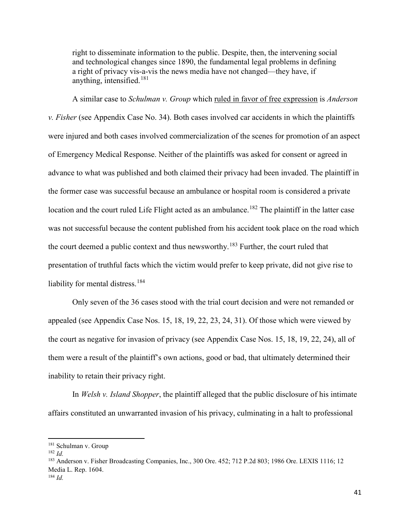right to disseminate information to the public. Despite, then, the intervening social and technological changes since 1890, the fundamental legal problems in defining a right of privacy vis-a-vis the news media have not changed—they have, if anything, intensified. $181$ 

A similar case to *Schulman v. Group* which ruled in favor of free expression is *Anderson v. Fisher* (see [Appendix Case No. 34\)](#page-53-1). Both cases involved car accidents in which the plaintiffs were injured and both cases involved commercialization of the scenes for promotion of an aspect of Emergency Medical Response. Neither of the plaintiffs was asked for consent or agreed in advance to what was published and both claimed their privacy had been invaded. The plaintiff in the former case was successful because an ambulance or hospital room is considered a private location and the court ruled Life Flight acted as an ambulance.<sup>[182](#page-44-1)</sup> The plaintiff in the latter case was not successful because the content published from his accident took place on the road which the court deemed a public context and thus newsworthy.<sup>[183](#page-44-2)</sup> Further, the court ruled that presentation of truthful facts which the victim would prefer to keep private, did not give rise to liability for mental distress.<sup>[184](#page-44-3)</sup>

Only seven of the 36 cases stood with the trial court decision and were not remanded or appealed (see [Appendix Case](#page-53-1) Nos. 15, 18, 19, 22, 23, 24, 31). Of those which were viewed by the court as negative for invasion of privacy (see [Appendix Case](#page-53-1) Nos. 15, 18, 19, 22, 24), all of them were a result of the plaintiff's own actions, good or bad, that ultimately determined their inability to retain their privacy right.

In *Welsh v. Island Shopper*, the plaintiff alleged that the public disclosure of his intimate affairs constituted an unwarranted invasion of his privacy, culminating in a halt to professional

<span id="page-44-0"></span><sup>181</sup> Schulman v. Group

<span id="page-44-1"></span><sup>182</sup> *Id.*

<span id="page-44-2"></span><sup>183</sup> Anderson v. Fisher Broadcasting Companies, Inc., 300 Ore. 452; 712 P.2d 803; 1986 Ore. LEXIS 1116; 12 Media L. Rep. 1604.

<span id="page-44-3"></span><sup>184</sup> *Id.*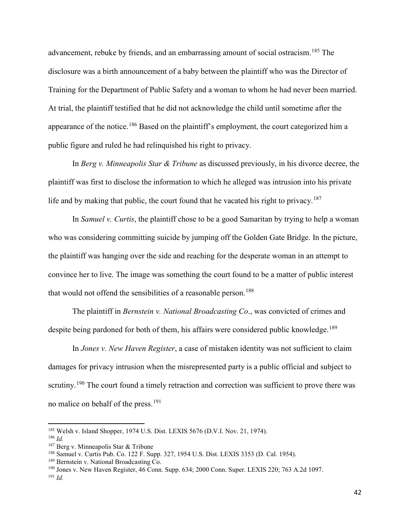advancement, rebuke by friends, and an embarrassing amount of social ostracism.<sup>[185](#page-45-0)</sup> The disclosure was a birth announcement of a baby between the plaintiff who was the Director of Training for the Department of Public Safety and a woman to whom he had never been married. At trial, the plaintiff testified that he did not acknowledge the child until sometime after the appearance of the notice.<sup>[186](#page-45-1)</sup> Based on the plaintiff's employment, the court categorized him a public figure and ruled he had relinquished his right to privacy.

In *Berg v. Minneapolis Star & Tribune* as discussed previously, in his divorce decree, the plaintiff was first to disclose the information to which he alleged was intrusion into his private life and by making that public, the court found that he vacated his right to privacy.<sup>[187](#page-45-2)</sup>

In *Samuel v. Curtis*, the plaintiff chose to be a good Samaritan by trying to help a woman who was considering committing suicide by jumping off the Golden Gate Bridge. In the picture, the plaintiff was hanging over the side and reaching for the desperate woman in an attempt to convince her to live. The image was something the court found to be a matter of public interest that would not offend the sensibilities of a reasonable person.<sup>[188](#page-45-3)</sup>

The plaintiff in *Bernstein v. National Broadcasting Co*., was convicted of crimes and despite being pardoned for both of them, his affairs were considered public knowledge.<sup>[189](#page-45-4)</sup>

In *Jones v. New Haven Register*, a case of mistaken identity was not sufficient to claim damages for privacy intrusion when the misrepresented party is a public official and subject to scrutiny.<sup>[190](#page-45-5)</sup> The court found a timely retraction and correction was sufficient to prove there was no malice on behalf of the press.<sup>[191](#page-45-6)</sup>

<span id="page-45-0"></span><sup>185</sup> Welsh v. Island Shopper, 1974 U.S. Dist. LEXIS 5676 (D.V.I. Nov. 21, 1974).

<span id="page-45-1"></span><sup>186</sup> *Id.*

<span id="page-45-2"></span><sup>187</sup> Berg v. Minneapolis Star & Tribune

<span id="page-45-3"></span><sup>188</sup> Samuel v. Curtis Pub. Co. 122 F. Supp. 327, 1954 U.S. Dist. LEXIS 3353 (D. Cal. 1954).

<span id="page-45-4"></span><sup>189</sup> Bernstein v. National Broadcasting Co.

<span id="page-45-6"></span><span id="page-45-5"></span><sup>190</sup> Jones v. New Haven Register, 46 Conn. Supp. 634; 2000 Conn. Super. LEXIS 220; 763 A.2d 1097. <sup>191</sup> *Id.*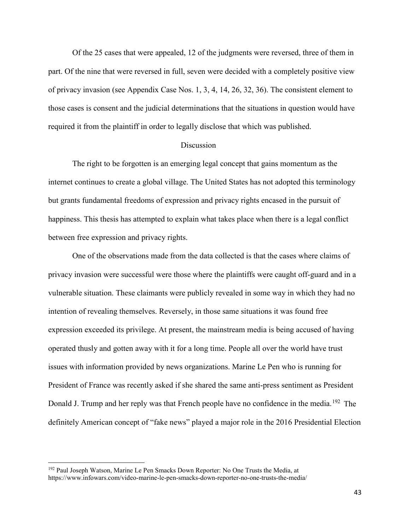Of the 25 cases that were appealed, 12 of the judgments were reversed, three of them in part. Of the nine that were reversed in full, seven were decided with a completely positive view of privacy invasion (see [Appendix Case](#page-53-1) Nos. 1, 3, 4, 14, 26, 32, 36). The consistent element to those cases is consent and the judicial determinations that the situations in question would have required it from the plaintiff in order to legally disclose that which was published.

#### **Discussion**

<span id="page-46-0"></span>The right to be forgotten is an emerging legal concept that gains momentum as the internet continues to create a global village. The United States has not adopted this terminology but grants fundamental freedoms of expression and privacy rights encased in the pursuit of happiness. This thesis has attempted to explain what takes place when there is a legal conflict between free expression and privacy rights.

One of the observations made from the data collected is that the cases where claims of privacy invasion were successful were those where the plaintiffs were caught off-guard and in a vulnerable situation. These claimants were publicly revealed in some way in which they had no intention of revealing themselves. Reversely, in those same situations it was found free expression exceeded its privilege. At present, the mainstream media is being accused of having operated thusly and gotten away with it for a long time. People all over the world have trust issues with information provided by news organizations. Marine Le Pen who is running for President of France was recently asked if she shared the same anti-press sentiment as President Donald J. Trump and her reply was that French people have no confidence in the media.<sup>[192](#page-46-1)</sup> The definitely American concept of "fake news" played a major role in the 2016 Presidential Election

<span id="page-46-1"></span><sup>&</sup>lt;sup>192</sup> Paul Joseph Watson, Marine Le Pen Smacks Down Reporter: No One Trusts the Media, at https://www.infowars.com/video-marine-le-pen-smacks-down-reporter-no-one-trusts-the-media/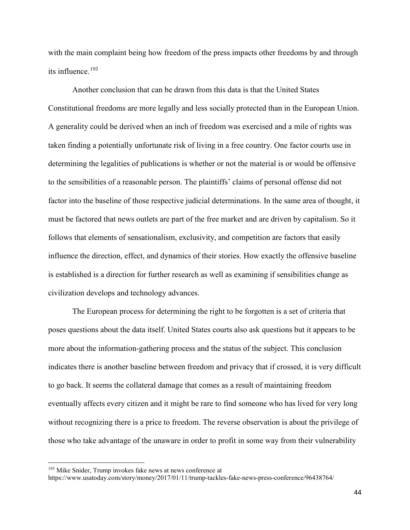with the main complaint being how freedom of the press impacts other freedoms by and through its influence. [193](#page-47-0)

Another conclusion that can be drawn from this data is that the United States Constitutional freedoms are more legally and less socially protected than in the European Union. A generality could be derived when an inch of freedom was exercised and a mile of rights was taken finding a potentially unfortunate risk of living in a free country. One factor courts use in determining the legalities of publications is whether or not the material is or would be offensive to the sensibilities of a reasonable person. The plaintiffs' claims of personal offense did not factor into the baseline of those respective judicial determinations. In the same area of thought, it must be factored that news outlets are part of the free market and are driven by capitalism. So it follows that elements of sensationalism, exclusivity, and competition are factors that easily influence the direction, effect, and dynamics of their stories. How exactly the offensive baseline is established is a direction for further research as well as examining if sensibilities change as civilization develops and technology advances.

The European process for determining the right to be forgotten is a set of criteria that poses questions about the data itself. United States courts also ask questions but it appears to be more about the information-gathering process and the status of the subject. This conclusion indicates there is another baseline between freedom and privacy that if crossed, it is very difficult to go back. It seems the collateral damage that comes as a result of maintaining freedom eventually affects every citizen and it might be rare to find someone who has lived for very long without recognizing there is a price to freedom. The reverse observation is about the privilege of those who take advantage of the unaware in order to profit in some way from their vulnerability

<span id="page-47-0"></span> $193$  Mike Snider, Trump invokes fake news at news conference at

https://www.usatoday.com/story/money/2017/01/11/trump-tackles-fake-news-press-conference/96438764/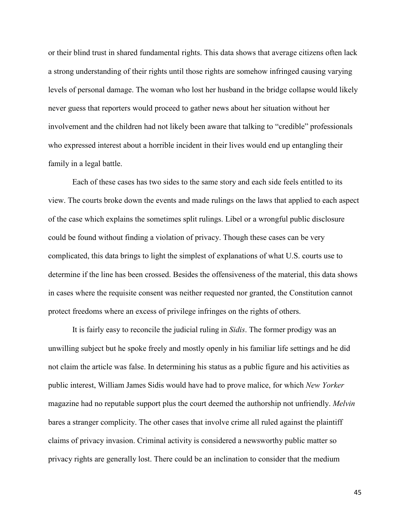or their blind trust in shared fundamental rights. This data shows that average citizens often lack a strong understanding of their rights until those rights are somehow infringed causing varying levels of personal damage. The woman who lost her husband in the bridge collapse would likely never guess that reporters would proceed to gather news about her situation without her involvement and the children had not likely been aware that talking to "credible" professionals who expressed interest about a horrible incident in their lives would end up entangling their family in a legal battle.

Each of these cases has two sides to the same story and each side feels entitled to its view. The courts broke down the events and made rulings on the laws that applied to each aspect of the case which explains the sometimes split rulings. Libel or a wrongful public disclosure could be found without finding a violation of privacy. Though these cases can be very complicated, this data brings to light the simplest of explanations of what U.S. courts use to determine if the line has been crossed. Besides the offensiveness of the material, this data shows in cases where the requisite consent was neither requested nor granted, the Constitution cannot protect freedoms where an excess of privilege infringes on the rights of others.

It is fairly easy to reconcile the judicial ruling in *Sidis*. The former prodigy was an unwilling subject but he spoke freely and mostly openly in his familiar life settings and he did not claim the article was false. In determining his status as a public figure and his activities as public interest, William James Sidis would have had to prove malice, for which *New Yorker* magazine had no reputable support plus the court deemed the authorship not unfriendly. *Melvin* bares a stranger complicity. The other cases that involve crime all ruled against the plaintiff claims of privacy invasion. Criminal activity is considered a newsworthy public matter so privacy rights are generally lost. There could be an inclination to consider that the medium

45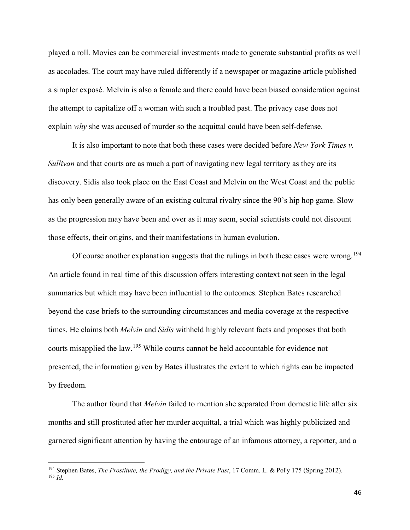played a roll. Movies can be commercial investments made to generate substantial profits as well as accolades. The court may have ruled differently if a newspaper or magazine article published a simpler exposé. Melvin is also a female and there could have been biased consideration against the attempt to capitalize off a woman with such a troubled past. The privacy case does not explain *why* she was accused of murder so the acquittal could have been self-defense.

It is also important to note that both these cases were decided before *New York Times v. Sullivan* and that courts are as much a part of navigating new legal territory as they are its discovery. Sidis also took place on the East Coast and Melvin on the West Coast and the public has only been generally aware of an existing cultural rivalry since the 90's hip hop game. Slow as the progression may have been and over as it may seem, social scientists could not discount those effects, their origins, and their manifestations in human evolution.

Of course another explanation suggests that the rulings in both these cases were wrong.<sup>[194](#page-49-0)</sup> An article found in real time of this discussion offers interesting context not seen in the legal summaries but which may have been influential to the outcomes. Stephen Bates researched beyond the case briefs to the surrounding circumstances and media coverage at the respective times. He claims both *Melvin* and *Sidis* withheld highly relevant facts and proposes that both courts misapplied the law.<sup>[195](#page-49-1)</sup> While courts cannot be held accountable for evidence not presented, the information given by Bates illustrates the extent to which rights can be impacted by freedom.

The author found that *Melvin* failed to mention she separated from domestic life after six months and still prostituted after her murder acquittal, a trial which was highly publicized and garnered significant attention by having the entourage of an infamous attorney, a reporter, and a

<span id="page-49-1"></span><span id="page-49-0"></span><sup>194</sup> Stephen Bates, *The Prostitute, the Prodigy, and the Private Past*, 17 Comm. L. & Pol'y 175 (Spring 2012). <sup>195</sup> *Id.*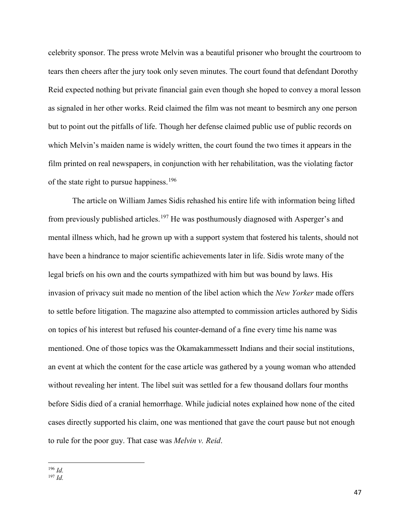celebrity sponsor. The press wrote Melvin was a beautiful prisoner who brought the courtroom to tears then cheers after the jury took only seven minutes. The court found that defendant Dorothy Reid expected nothing but private financial gain even though she hoped to convey a moral lesson as signaled in her other works. Reid claimed the film was not meant to besmirch any one person but to point out the pitfalls of life. Though her defense claimed public use of public records on which Melvin's maiden name is widely written, the court found the two times it appears in the film printed on real newspapers, in conjunction with her rehabilitation, was the violating factor of the state right to pursue happiness.<sup>[196](#page-50-0)</sup>

The article on William James Sidis rehashed his entire life with information being lifted from previously published articles.<sup>[197](#page-50-1)</sup> He was posthumously diagnosed with Asperger's and mental illness which, had he grown up with a support system that fostered his talents, should not have been a hindrance to major scientific achievements later in life. Sidis wrote many of the legal briefs on his own and the courts sympathized with him but was bound by laws. His invasion of privacy suit made no mention of the libel action which the *New Yorker* made offers to settle before litigation. The magazine also attempted to commission articles authored by Sidis on topics of his interest but refused his counter-demand of a fine every time his name was mentioned. One of those topics was the Okamakammessett Indians and their social institutions, an event at which the content for the case article was gathered by a young woman who attended without revealing her intent. The libel suit was settled for a few thousand dollars four months before Sidis died of a cranial hemorrhage. While judicial notes explained how none of the cited cases directly supported his claim, one was mentioned that gave the court pause but not enough to rule for the poor guy. That case was *Melvin v. Reid*.

l <sup>196</sup> *Id.*

<span id="page-50-1"></span><span id="page-50-0"></span><sup>197</sup> *Id.*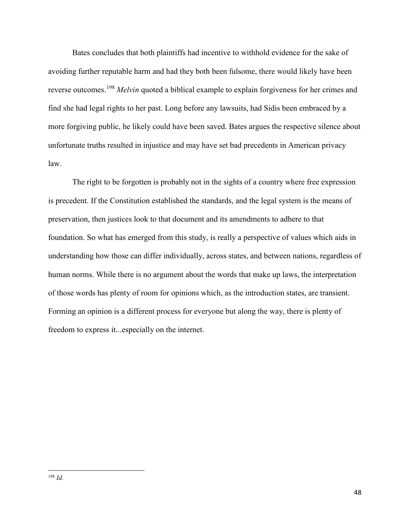Bates concludes that both plaintiffs had incentive to withhold evidence for the sake of avoiding further reputable harm and had they both been fulsome, there would likely have been reverse outcomes.[198](#page-51-0) *Melvin* quoted a biblical example to explain forgiveness for her crimes and find she had legal rights to her past. Long before any lawsuits, had Sidis been embraced by a more forgiving public, he likely could have been saved. Bates argues the respective silence about unfortunate truths resulted in injustice and may have set bad precedents in American privacy law.

The right to be forgotten is probably not in the sights of a country where free expression is precedent. If the Constitution established the standards, and the legal system is the means of preservation, then justices look to that document and its amendments to adhere to that foundation. So what has emerged from this study, is really a perspective of values which aids in understanding how those can differ individually, across states, and between nations, regardless of human norms. While there is no argument about the words that make up laws, the interpretation of those words has plenty of room for opinions which, as the introduction states, are transient. Forming an opinion is a different process for everyone but along the way, there is plenty of freedom to express it...especially on the internet.

<span id="page-51-0"></span> $\overline{a}$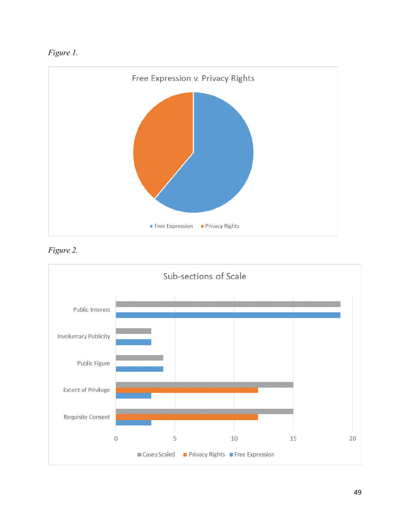<span id="page-52-2"></span><span id="page-52-0"></span>



<span id="page-52-1"></span>*Figure 2.*

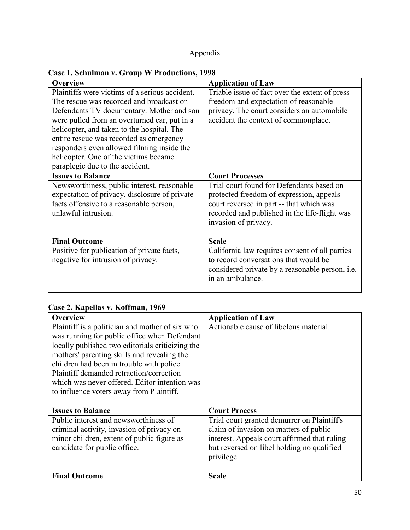# Appendix

# <span id="page-53-1"></span><span id="page-53-0"></span>**Case 1. Schulman v. Group W Productions, 1998**

| <b>Overview</b>                                | <b>Application of Law</b>                              |
|------------------------------------------------|--------------------------------------------------------|
| Plaintiffs were victims of a serious accident. | Triable issue of fact over the extent of press         |
| The rescue was recorded and broadcast on       | freedom and expectation of reasonable                  |
| Defendants TV documentary. Mother and son      | privacy. The court considers an automobile             |
| were pulled from an overturned car, put in a   | accident the context of commonplace.                   |
| helicopter, and taken to the hospital. The     |                                                        |
| entire rescue was recorded as emergency        |                                                        |
| responders even allowed filming inside the     |                                                        |
| helicopter. One of the victims became          |                                                        |
| paraplegic due to the accident.                |                                                        |
| <b>Issues to Balance</b>                       | <b>Court Processes</b>                                 |
| Newsworthiness, public interest, reasonable    | Trial court found for Defendants based on              |
| expectation of privacy, disclosure of private  | protected freedom of expression, appeals               |
| facts offensive to a reasonable person,        | court reversed in part -- that which was               |
| unlawful intrusion.                            | recorded and published in the life-flight was          |
|                                                | invasion of privacy.                                   |
|                                                |                                                        |
| <b>Final Outcome</b>                           | <b>Scale</b>                                           |
| Positive for publication of private facts,     | California law requires consent of all parties         |
| negative for intrusion of privacy.             | to record conversations that would be                  |
|                                                | considered private by a reasonable person, <i>i.e.</i> |
|                                                | in an ambulance.                                       |
|                                                |                                                        |

### **Case 2. Kapellas v. Koffman, 1969**

| <b>Overview</b>                                                                                                                                                                                    | <b>Application of Law</b>                                                                                                                                                                         |
|----------------------------------------------------------------------------------------------------------------------------------------------------------------------------------------------------|---------------------------------------------------------------------------------------------------------------------------------------------------------------------------------------------------|
| Plaintiff is a politician and mother of six who<br>was running for public office when Defendant<br>locally published two editorials criticizing the<br>mothers' parenting skills and revealing the | Actionable cause of libelous material.                                                                                                                                                            |
| children had been in trouble with police.<br>Plaintiff demanded retraction/correction<br>which was never offered. Editor intention was<br>to influence voters away from Plaintiff.                 |                                                                                                                                                                                                   |
| <b>Issues to Balance</b>                                                                                                                                                                           | <b>Court Process</b>                                                                                                                                                                              |
| Public interest and newsworthiness of<br>criminal activity, invasion of privacy on<br>minor children, extent of public figure as<br>candidate for public office.                                   | Trial court granted demurrer on Plaintiff's<br>claim of invasion on matters of public<br>interest. Appeals court affirmed that ruling<br>but reversed on libel holding no qualified<br>privilege. |
| <b>Final Outcome</b>                                                                                                                                                                               | <b>Scale</b>                                                                                                                                                                                      |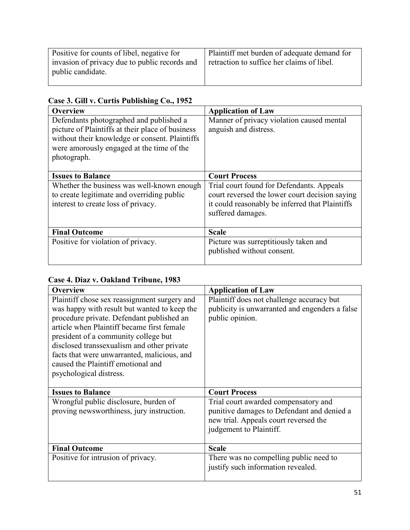| Positive for counts of libel, negative for                         | Plaintiff met burden of adequate demand for |
|--------------------------------------------------------------------|---------------------------------------------|
|                                                                    |                                             |
|                                                                    |                                             |
|                                                                    |                                             |
|                                                                    |                                             |
|                                                                    |                                             |
|                                                                    |                                             |
| invasion of privacy due to public records and<br>public candidate. | retraction to suffice her claims of libel.  |

| Case 3. Gill v. Curtis Publishing Co., 1952 |  |  |  |
|---------------------------------------------|--|--|--|
|---------------------------------------------|--|--|--|

| Overview                                                                                                                                                                                                  | <b>Application of Law</b>                                                                                                                                           |
|-----------------------------------------------------------------------------------------------------------------------------------------------------------------------------------------------------------|---------------------------------------------------------------------------------------------------------------------------------------------------------------------|
| Defendants photographed and published a<br>picture of Plaintiffs at their place of business<br>without their knowledge or consent. Plaintiffs<br>were amorously engaged at the time of the<br>photograph. | Manner of privacy violation caused mental<br>anguish and distress.                                                                                                  |
| <b>Issues to Balance</b>                                                                                                                                                                                  | <b>Court Process</b>                                                                                                                                                |
| Whether the business was well-known enough<br>to create legitimate and overriding public<br>interest to create loss of privacy.                                                                           | Trial court found for Defendants. Appeals<br>court reversed the lower court decision saying<br>it could reasonably be inferred that Plaintiffs<br>suffered damages. |
| <b>Final Outcome</b>                                                                                                                                                                                      | <b>Scale</b>                                                                                                                                                        |
| Positive for violation of privacy.                                                                                                                                                                        | Picture was surreptitiously taken and<br>published without consent.                                                                                                 |

**Case 4. Diaz v. Oakland Tribune, 1983**

| <b>Overview</b>                              | <b>Application of Law</b>                      |
|----------------------------------------------|------------------------------------------------|
| Plaintiff chose sex reassignment surgery and | Plaintiff does not challenge accuracy but      |
| was happy with result but wanted to keep the | publicity is unwarranted and engenders a false |
| procedure private. Defendant published an    | public opinion.                                |
| article when Plaintiff became first female   |                                                |
| president of a community college but         |                                                |
| disclosed transsexualism and other private   |                                                |
| facts that were unwarranted, malicious, and  |                                                |
| caused the Plaintiff emotional and           |                                                |
| psychological distress.                      |                                                |
|                                              |                                                |
| <b>Issues to Balance</b>                     | <b>Court Process</b>                           |
| Wrongful public disclosure, burden of        | Trial court awarded compensatory and           |
| proving newsworthiness, jury instruction.    | punitive damages to Defendant and denied a     |
|                                              | new trial. Appeals court reversed the          |
|                                              | judgement to Plaintiff.                        |
|                                              |                                                |
| <b>Final Outcome</b>                         | <b>Scale</b>                                   |
| Positive for intrusion of privacy.           | There was no compelling public need to         |
|                                              | justify such information revealed.             |
|                                              |                                                |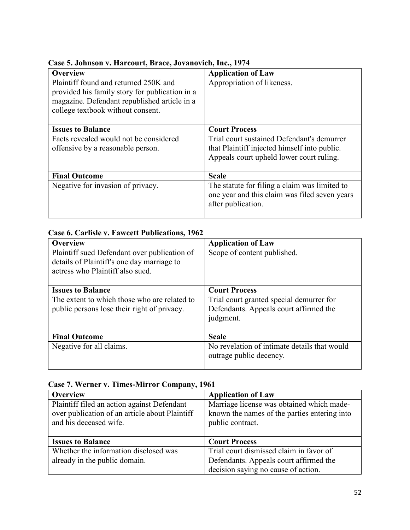| <b>Overview</b>                                                                                                                         | <b>Application of Law</b>                                                                                                              |
|-----------------------------------------------------------------------------------------------------------------------------------------|----------------------------------------------------------------------------------------------------------------------------------------|
| Plaintiff found and returned 250K and<br>provided his family story for publication in a<br>magazine. Defendant republished article in a | Appropriation of likeness.                                                                                                             |
| college textbook without consent.                                                                                                       |                                                                                                                                        |
| <b>Issues to Balance</b>                                                                                                                | <b>Court Process</b>                                                                                                                   |
| Facts revealed would not be considered<br>offensive by a reasonable person.                                                             | Trial court sustained Defendant's demurrer<br>that Plaintiff injected himself into public.<br>Appeals court upheld lower court ruling. |
| <b>Final Outcome</b>                                                                                                                    | <b>Scale</b>                                                                                                                           |
| Negative for invasion of privacy.                                                                                                       | The statute for filing a claim was limited to<br>one year and this claim was filed seven years<br>after publication.                   |

### **Case 5. Johnson v. Harcourt, Brace, Jovanovich, Inc., 1974**

### **Case 6. Carlisle v. Fawcett Publications, 1962**

| <b>Overview</b>                              | <b>Application of Law</b>                    |
|----------------------------------------------|----------------------------------------------|
| Plaintiff sued Defendant over publication of | Scope of content published.                  |
| details of Plaintiff's one day marriage to   |                                              |
| actress who Plaintiff also sued.             |                                              |
|                                              |                                              |
| <b>Issues to Balance</b>                     | <b>Court Process</b>                         |
| The extent to which those who are related to | Trial court granted special demurrer for     |
| public persons lose their right of privacy.  | Defendants. Appeals court affirmed the       |
|                                              | judgment.                                    |
|                                              |                                              |
| <b>Final Outcome</b>                         | <b>Scale</b>                                 |
| Negative for all claims.                     | No revelation of intimate details that would |
|                                              | outrage public decency.                      |
|                                              |                                              |

|  |  |  |  | Case 7. Werner v. Times-Mirror Company, 1961 |  |
|--|--|--|--|----------------------------------------------|--|
|--|--|--|--|----------------------------------------------|--|

| <b>Overview</b>                                | <b>Application of Law</b>                    |
|------------------------------------------------|----------------------------------------------|
| Plaintiff filed an action against Defendant    | Marriage license was obtained which made-    |
| over publication of an article about Plaintiff | known the names of the parties entering into |
| and his deceased wife.                         | public contract.                             |
|                                                |                                              |
| <b>Issues to Balance</b>                       | <b>Court Process</b>                         |
| Whether the information disclosed was          | Trial court dismissed claim in favor of      |
| already in the public domain.                  | Defendants. Appeals court affirmed the       |
|                                                | decision saying no cause of action.          |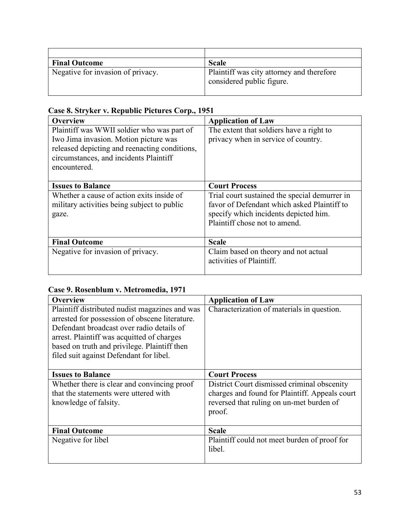| <b>Final Outcome</b>              | <b>Scale</b>                                                           |
|-----------------------------------|------------------------------------------------------------------------|
| Negative for invasion of privacy. | Plaintiff was city attorney and therefore<br>considered public figure. |

### **Case 8. Stryker v. Republic Pictures Corp., 1951**

| <b>Overview</b>                                                                     | <b>Application of Law</b>                                                       |
|-------------------------------------------------------------------------------------|---------------------------------------------------------------------------------|
| Plaintiff was WWII soldier who was part of<br>Iwo Jima invasion. Motion picture was | The extent that soldiers have a right to<br>privacy when in service of country. |
| released depicting and reenacting conditions,                                       |                                                                                 |
| circumstances, and incidents Plaintiff<br>encountered.                              |                                                                                 |
|                                                                                     |                                                                                 |
| <b>Issues to Balance</b>                                                            | <b>Court Process</b>                                                            |
| Whether a cause of action exits inside of                                           | Trial court sustained the special demurrer in                                   |
| military activities being subject to public                                         | favor of Defendant which asked Plaintiff to                                     |
| gaze.                                                                               | specify which incidents depicted him.                                           |
|                                                                                     | Plaintiff chose not to amend.                                                   |
|                                                                                     |                                                                                 |
| <b>Final Outcome</b>                                                                | <b>Scale</b>                                                                    |
| Negative for invasion of privacy.                                                   | Claim based on theory and not actual                                            |
|                                                                                     | activities of Plaintiff.                                                        |
|                                                                                     |                                                                                 |

### **Case 9. Rosenblum v. Metromedia, 1971**

| <b>Overview</b>                                | <b>Application of Law</b>                      |
|------------------------------------------------|------------------------------------------------|
| Plaintiff distributed nudist magazines and was | Characterization of materials in question.     |
| arrested for possession of obscene literature. |                                                |
| Defendant broadcast over radio details of      |                                                |
| arrest. Plaintiff was acquitted of charges     |                                                |
| based on truth and privilege. Plaintiff then   |                                                |
| filed suit against Defendant for libel.        |                                                |
|                                                |                                                |
| <b>Issues to Balance</b>                       | <b>Court Process</b>                           |
| Whether there is clear and convincing proof    | District Court dismissed criminal obscenity    |
| that the statements were uttered with          | charges and found for Plaintiff. Appeals court |
| knowledge of falsity.                          | reversed that ruling on un-met burden of       |
|                                                | proof.                                         |
|                                                |                                                |
| <b>Final Outcome</b>                           | <b>Scale</b>                                   |
| Negative for libel                             | Plaintiff could not meet burden of proof for   |
|                                                | libel.                                         |
|                                                |                                                |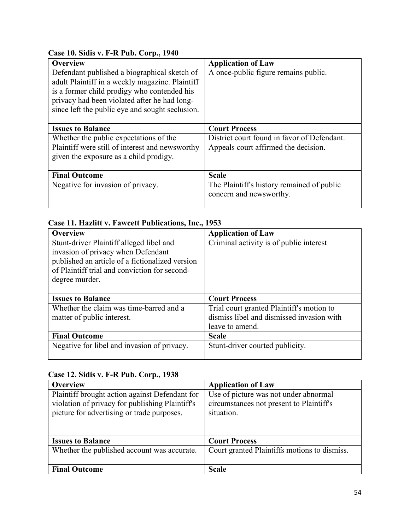| Overview                                                                                                                                                                                                                                          | <b>Application of Law</b>                                             |
|---------------------------------------------------------------------------------------------------------------------------------------------------------------------------------------------------------------------------------------------------|-----------------------------------------------------------------------|
| Defendant published a biographical sketch of<br>adult Plaintiff in a weekly magazine. Plaintiff<br>is a former child prodigy who contended his<br>privacy had been violated after he had long-<br>since left the public eye and sought seclusion. | A once-public figure remains public.                                  |
| <b>Issues to Balance</b>                                                                                                                                                                                                                          | <b>Court Process</b>                                                  |
| Whether the public expectations of the                                                                                                                                                                                                            | District court found in favor of Defendant.                           |
| Plaintiff were still of interest and newsworthy                                                                                                                                                                                                   | Appeals court affirmed the decision.                                  |
| given the exposure as a child prodigy.                                                                                                                                                                                                            |                                                                       |
| <b>Final Outcome</b>                                                                                                                                                                                                                              | <b>Scale</b>                                                          |
| Negative for invasion of privacy.                                                                                                                                                                                                                 | The Plaintiff's history remained of public<br>concern and newsworthy. |

### **Case 10. Sidis v. F-R Pub. Corp., 1940**

### **Case 11. Hazlitt v. Fawcett Publications, Inc., 1953**

| <b>Overview</b>                                 | <b>Application of Law</b>                 |
|-------------------------------------------------|-------------------------------------------|
| Stunt-driver Plaintiff alleged libel and        | Criminal activity is of public interest   |
| invasion of privacy when Defendant              |                                           |
| published an article of a fictionalized version |                                           |
| of Plaintiff trial and conviction for second-   |                                           |
| degree murder.                                  |                                           |
|                                                 |                                           |
| <b>Issues to Balance</b>                        | <b>Court Process</b>                      |
| Whether the claim was time-barred and a         | Trial court granted Plaintiff's motion to |
| matter of public interest.                      | dismiss libel and dismissed invasion with |
|                                                 | leave to amend.                           |
| <b>Final Outcome</b>                            | <b>Scale</b>                              |
| Negative for libel and invasion of privacy.     | Stunt-driver courted publicity.           |
|                                                 |                                           |

### **Case 12. Sidis v. F-R Pub. Corp., 1938**

| <b>Overview</b>                                 | <b>Application of Law</b>                    |
|-------------------------------------------------|----------------------------------------------|
| Plaintiff brought action against Defendant for  | Use of picture was not under abnormal        |
| violation of privacy for publishing Plaintiff's | circumstances not present to Plaintiff's     |
| picture for advertising or trade purposes.      | situation.                                   |
|                                                 |                                              |
|                                                 |                                              |
| <b>Issues to Balance</b>                        | <b>Court Process</b>                         |
| Whether the published account was accurate.     | Court granted Plaintiffs motions to dismiss. |
|                                                 |                                              |
| <b>Final Outcome</b>                            | <b>Scale</b>                                 |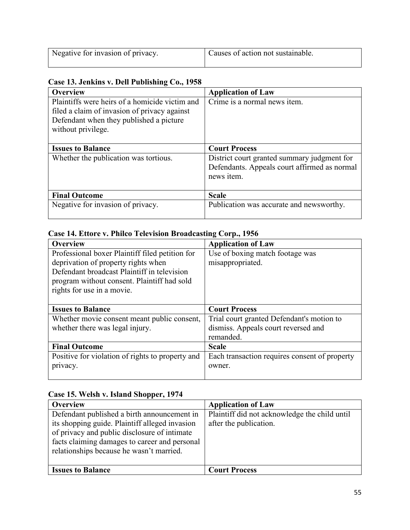| Negative for invasion of privacy. | Causes of action not sustainable. |
|-----------------------------------|-----------------------------------|
|                                   |                                   |

### **Case 13. Jenkins v. Dell Publishing Co., 1958**

| <b>Overview</b>                                | <b>Application of Law</b>                    |
|------------------------------------------------|----------------------------------------------|
| Plaintiffs were heirs of a homicide victim and | Crime is a normal news item.                 |
| filed a claim of invasion of privacy against   |                                              |
| Defendant when they published a picture        |                                              |
| without privilege.                             |                                              |
|                                                |                                              |
| <b>Issues to Balance</b>                       | <b>Court Process</b>                         |
| Whether the publication was tortious.          | District court granted summary judgment for  |
|                                                | Defendants. Appeals court affirmed as normal |
|                                                | news item.                                   |
|                                                |                                              |
| <b>Final Outcome</b>                           | <b>Scale</b>                                 |
| Negative for invasion of privacy.              | Publication was accurate and newsworthy.     |
|                                                |                                              |

### **Case 14. Ettore v. Philco Television Broadcasting Corp., 1956**

| Overview                                         | <b>Application of Law</b>                     |
|--------------------------------------------------|-----------------------------------------------|
| Professional boxer Plaintiff filed petition for  | Use of boxing match footage was               |
| deprivation of property rights when              | misappropriated.                              |
| Defendant broadcast Plaintiff in television      |                                               |
| program without consent. Plaintiff had sold      |                                               |
| rights for use in a movie.                       |                                               |
|                                                  |                                               |
| <b>Issues to Balance</b>                         | <b>Court Process</b>                          |
| Whether movie consent meant public consent,      | Trial court granted Defendant's motion to     |
| whether there was legal injury.                  | dismiss. Appeals court reversed and           |
|                                                  | remanded.                                     |
| <b>Final Outcome</b>                             | <b>Scale</b>                                  |
| Positive for violation of rights to property and | Each transaction requires consent of property |
| privacy.                                         | owner.                                        |
|                                                  |                                               |

### **Case 15. Welsh v. Island Shopper, 1974**

| <b>Overview</b>                                                                                                                                                                                                                            | <b>Application of Law</b>                                               |
|--------------------------------------------------------------------------------------------------------------------------------------------------------------------------------------------------------------------------------------------|-------------------------------------------------------------------------|
| Defendant published a birth announcement in<br>its shopping guide. Plaintiff alleged invasion<br>of privacy and public disclosure of intimate<br>facts claiming damages to career and personal<br>relationships because he wasn't married. | Plaintiff did not acknowledge the child until<br>after the publication. |
| <b>Issues to Balance</b>                                                                                                                                                                                                                   | <b>Court Process</b>                                                    |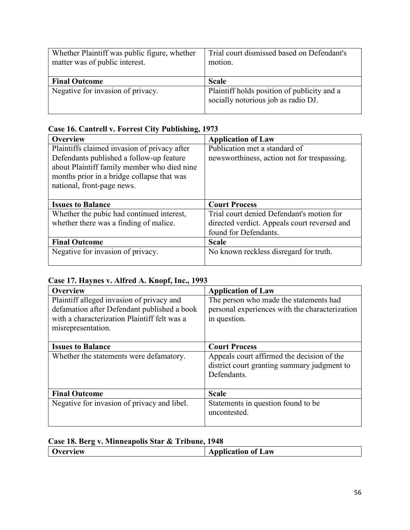| Whether Plaintiff was public figure, whether<br>matter was of public interest. | Trial court dismissed based on Defendant's<br>motion.                              |
|--------------------------------------------------------------------------------|------------------------------------------------------------------------------------|
| <b>Final Outcome</b>                                                           | <b>Scale</b>                                                                       |
| Negative for invasion of privacy.                                              | Plaintiff holds position of publicity and a<br>socially notorious job as radio DJ. |

### **Case 16. Cantrell v. Forrest City Publishing, 1973**

| <b>Overview</b>                              | <b>Application of Law</b>                    |
|----------------------------------------------|----------------------------------------------|
| Plaintiffs claimed invasion of privacy after | Publication met a standard of                |
| Defendants published a follow-up feature     | newsworthiness, action not for trespassing.  |
| about Plaintiff family member who died nine  |                                              |
| months prior in a bridge collapse that was   |                                              |
| national, front-page news.                   |                                              |
|                                              |                                              |
| <b>Issues to Balance</b>                     | <b>Court Process</b>                         |
|                                              |                                              |
| Whether the pubic had continued interest,    | Trial court denied Defendant's motion for    |
| whether there was a finding of malice.       | directed verdict. Appeals court reversed and |
|                                              | found for Defendants.                        |
| <b>Final Outcome</b>                         | <b>Scale</b>                                 |
| Negative for invasion of privacy.            | No known reckless disregard for truth.       |

### **Case 17. Haynes v. Alfred A. Knopf, Inc., 1993**

| <b>Overview</b>                              | <b>Application of Law</b>                      |
|----------------------------------------------|------------------------------------------------|
| Plaintiff alleged invasion of privacy and    | The person who made the statements had         |
| defamation after Defendant published a book  | personal experiences with the characterization |
| with a characterization Plaintiff felt was a | in question.                                   |
| misrepresentation.                           |                                                |
|                                              |                                                |
| <b>Issues to Balance</b>                     | <b>Court Process</b>                           |
| Whether the statements were defamatory.      | Appeals court affirmed the decision of the     |
|                                              | district court granting summary judgment to    |
|                                              | Defendants.                                    |
|                                              |                                                |
| <b>Final Outcome</b>                         | <b>Scale</b>                                   |
| Negative for invasion of privacy and libel.  | Statements in question found to be             |
|                                              | uncontested.                                   |
|                                              |                                                |

### **Case 18. Berg v. Minneapolis Star & Tribune, 1948**

| verview | <b>Application of Law</b> |
|---------|---------------------------|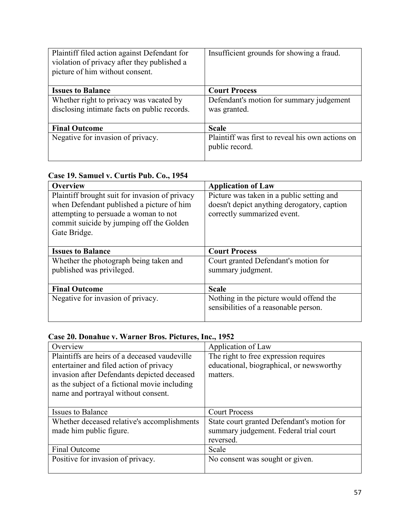| Plaintiff filed action against Defendant for<br>violation of privacy after they published a<br>picture of him without consent. | Insufficient grounds for showing a fraud.                          |
|--------------------------------------------------------------------------------------------------------------------------------|--------------------------------------------------------------------|
| <b>Issues to Balance</b>                                                                                                       | <b>Court Process</b>                                               |
| Whether right to privacy was vacated by<br>disclosing intimate facts on public records.                                        | Defendant's motion for summary judgement<br>was granted.           |
| <b>Final Outcome</b>                                                                                                           | <b>Scale</b>                                                       |
| Negative for invasion of privacy.                                                                                              | Plaintiff was first to reveal his own actions on<br>public record. |

### **Case 19. Samuel v. Curtis Pub. Co., 1954**

| <b>Overview</b>                                | <b>Application of Law</b>                   |
|------------------------------------------------|---------------------------------------------|
| Plaintiff brought suit for invasion of privacy | Picture was taken in a public setting and   |
| when Defendant published a picture of him      | doesn't depict anything derogatory, caption |
| attempting to persuade a woman to not          | correctly summarized event.                 |
| commit suicide by jumping off the Golden       |                                             |
| Gate Bridge.                                   |                                             |
|                                                |                                             |
| <b>Issues to Balance</b>                       | <b>Court Process</b>                        |
| Whether the photograph being taken and         | Court granted Defendant's motion for        |
| published was privileged.                      | summary judgment.                           |
|                                                |                                             |
| <b>Final Outcome</b>                           | <b>Scale</b>                                |
| Negative for invasion of privacy.              | Nothing in the picture would offend the     |
|                                                | sensibilities of a reasonable person.       |
|                                                |                                             |

# **Case 20. Donahue v. Warner Bros. Pictures, Inc., 1952**

| Overview                                      | Application of Law                         |
|-----------------------------------------------|--------------------------------------------|
| Plaintiffs are heirs of a deceased vaudeville | The right to free expression requires      |
| entertainer and filed action of privacy       | educational, biographical, or newsworthy   |
| invasion after Defendants depicted deceased   | matters.                                   |
| as the subject of a fictional movie including |                                            |
| name and portrayal without consent.           |                                            |
|                                               |                                            |
|                                               |                                            |
| <b>Issues to Balance</b>                      | <b>Court Process</b>                       |
| Whether deceased relative's accomplishments   | State court granted Defendant's motion for |
| made him public figure.                       | summary judgement. Federal trial court     |
|                                               | reversed.                                  |
| <b>Final Outcome</b>                          | Scale                                      |
| Positive for invasion of privacy.             | No consent was sought or given.            |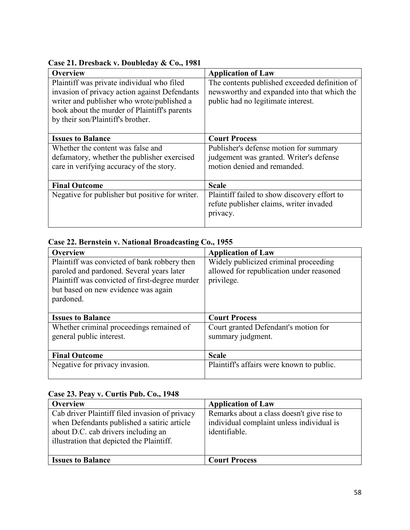| <b>Overview</b>                                 | <b>Application of Law</b>                     |
|-------------------------------------------------|-----------------------------------------------|
| Plaintiff was private individual who filed      | The contents published exceeded definition of |
| invasion of privacy action against Defendants   | newsworthy and expanded into that which the   |
| writer and publisher who wrote/published a      | public had no legitimate interest.            |
| book about the murder of Plaintiff's parents    |                                               |
| by their son/Plaintiff's brother.               |                                               |
|                                                 |                                               |
| <b>Issues to Balance</b>                        | <b>Court Process</b>                          |
| Whether the content was false and               | Publisher's defense motion for summary        |
| defamatory, whether the publisher exercised     | judgement was granted. Writer's defense       |
| care in verifying accuracy of the story.        | motion denied and remanded.                   |
|                                                 |                                               |
| <b>Final Outcome</b>                            | <b>Scale</b>                                  |
| Negative for publisher but positive for writer. | Plaintiff failed to show discovery effort to  |
|                                                 | refute publisher claims, writer invaded       |
|                                                 | privacy.                                      |
|                                                 |                                               |

### **Case 21. Dresback v. Doubleday & Co., 1981**

### **Case 22. Bernstein v. National Broadcasting Co., 1955**

| <b>Overview</b>                                | <b>Application of Law</b>                 |
|------------------------------------------------|-------------------------------------------|
| Plaintiff was convicted of bank robbery then   | Widely publicized criminal proceeding     |
| paroled and pardoned. Several years later      | allowed for republication under reasoned  |
| Plaintiff was convicted of first-degree murder | privilege.                                |
| but based on new evidence was again            |                                           |
| pardoned.                                      |                                           |
|                                                |                                           |
| <b>Issues to Balance</b>                       | <b>Court Process</b>                      |
| Whether criminal proceedings remained of       | Court granted Defendant's motion for      |
| general public interest.                       | summary judgment.                         |
|                                                |                                           |
|                                                |                                           |
| <b>Final Outcome</b>                           | <b>Scale</b>                              |
| Negative for privacy invasion.                 | Plaintiff's affairs were known to public. |

### **Case 23. Peay v. Curtis Pub. Co., 1948**

| Overview                                                                                                                                                                          | <b>Application of Law</b>                                                                                |
|-----------------------------------------------------------------------------------------------------------------------------------------------------------------------------------|----------------------------------------------------------------------------------------------------------|
| Cab driver Plaintiff filed invasion of privacy<br>when Defendants published a satiric article<br>about D.C. cab drivers including an<br>illustration that depicted the Plaintiff. | Remarks about a class doesn't give rise to<br>individual complaint unless individual is<br>identifiable. |
| <b>Issues to Balance</b>                                                                                                                                                          | <b>Court Process</b>                                                                                     |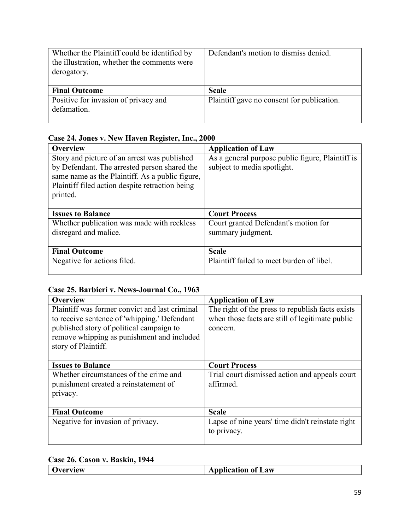| Whether the Plaintiff could be identified by<br>the illustration, whether the comments were<br>derogatory. | Defendant's motion to dismiss denied.      |
|------------------------------------------------------------------------------------------------------------|--------------------------------------------|
| <b>Final Outcome</b>                                                                                       | <b>Scale</b>                               |
| Positive for invasion of privacy and<br>defamation.                                                        | Plaintiff gave no consent for publication. |

### **Case 24. Jones v. New Haven Register, Inc., 2000**

| <b>Overview</b>                                 | <b>Application of Law</b>                        |
|-------------------------------------------------|--------------------------------------------------|
| Story and picture of an arrest was published    | As a general purpose public figure, Plaintiff is |
| by Defendant. The arrested person shared the    | subject to media spotlight.                      |
| same name as the Plaintiff. As a public figure, |                                                  |
| Plaintiff filed action despite retraction being |                                                  |
| printed.                                        |                                                  |
|                                                 |                                                  |
| <b>Issues to Balance</b>                        | <b>Court Process</b>                             |
| Whether publication was made with reckless      | Court granted Defendant's motion for             |
| disregard and malice.                           | summary judgment.                                |
|                                                 |                                                  |
| <b>Final Outcome</b>                            | <b>Scale</b>                                     |
| Negative for actions filed.                     | Plaintiff failed to meet burden of libel.        |
|                                                 |                                                  |

### **Case 25. Barbieri v. News-Journal Co., 1963**

| <b>Overview</b>                                | <b>Application of Law</b>                        |
|------------------------------------------------|--------------------------------------------------|
| Plaintiff was former convict and last criminal | The right of the press to republish facts exists |
| to receive sentence of 'whipping.' Defendant   | when those facts are still of legitimate public  |
| published story of political campaign to       | concern.                                         |
| remove whipping as punishment and included     |                                                  |
| story of Plaintiff.                            |                                                  |
|                                                |                                                  |
| <b>Issues to Balance</b>                       | <b>Court Process</b>                             |
| Whether circumstances of the crime and         | Trial court dismissed action and appeals court   |
| punishment created a reinstatement of          | affirmed.                                        |
| privacy.                                       |                                                  |
|                                                |                                                  |
| <b>Final Outcome</b>                           | <b>Scale</b>                                     |
| Negative for invasion of privacy.              | Lapse of nine years' time didn't reinstate right |
|                                                | to privacy.                                      |
|                                                |                                                  |

### **Case 26. Cason v. Baskin, 1944**

|  | Dverview | <b>Application of Law</b> |
|--|----------|---------------------------|
|--|----------|---------------------------|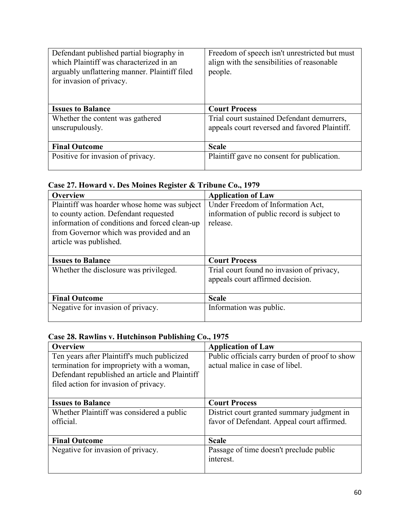| Defendant published partial biography in<br>which Plaintiff was characterized in an<br>arguably unflattering manner. Plaintiff filed<br>for invasion of privacy. | Freedom of speech isn't unrestricted but must<br>align with the sensibilities of reasonable<br>people. |
|------------------------------------------------------------------------------------------------------------------------------------------------------------------|--------------------------------------------------------------------------------------------------------|
| <b>Issues to Balance</b>                                                                                                                                         | <b>Court Process</b>                                                                                   |
| Whether the content was gathered                                                                                                                                 | Trial court sustained Defendant demurrers,                                                             |
| unscrupulously.                                                                                                                                                  | appeals court reversed and favored Plaintiff.                                                          |
| <b>Final Outcome</b>                                                                                                                                             | <b>Scale</b>                                                                                           |
| Positive for invasion of privacy.                                                                                                                                | Plaintiff gave no consent for publication.                                                             |

### **Case 27. Howard v. Des Moines Register & Tribune Co., 1979**

| <b>Overview</b>                               | <b>Application of Law</b>                  |
|-----------------------------------------------|--------------------------------------------|
| Plaintiff was hoarder whose home was subject  | Under Freedom of Information Act,          |
| to county action. Defendant requested         | information of public record is subject to |
| information of conditions and forced clean-up | release.                                   |
| from Governor which was provided and an       |                                            |
| article was published.                        |                                            |
|                                               |                                            |
| <b>Issues to Balance</b>                      | <b>Court Process</b>                       |
| Whether the disclosure was privileged.        | Trial court found no invasion of privacy,  |
|                                               | appeals court affirmed decision.           |
|                                               |                                            |
|                                               |                                            |
| <b>Final Outcome</b>                          | <b>Scale</b>                               |
| Negative for invasion of privacy.             | Information was public.                    |

# **Case 28. Rawlins v. Hutchinson Publishing Co., 1975**

| <b>Overview</b>                                | <b>Application of Law</b>                      |
|------------------------------------------------|------------------------------------------------|
| Ten years after Plaintiff's much publicized    | Public officials carry burden of proof to show |
| termination for impropriety with a woman,      | actual malice in case of libel.                |
| Defendant republished an article and Plaintiff |                                                |
| filed action for invasion of privacy.          |                                                |
|                                                |                                                |
| <b>Issues to Balance</b>                       | <b>Court Process</b>                           |
| Whether Plaintiff was considered a public      | District court granted summary judgment in     |
| official.                                      | favor of Defendant. Appeal court affirmed.     |
|                                                |                                                |
| <b>Final Outcome</b>                           | <b>Scale</b>                                   |
| Negative for invasion of privacy.              | Passage of time doesn't preclude public        |
|                                                | interest.                                      |
|                                                |                                                |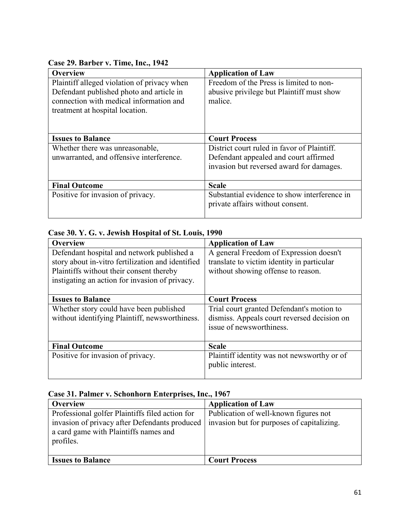### **Case 29. Barber v. Time, Inc., 1942**

| <b>Overview</b>                                                                         | <b>Application of Law</b>                                                            |
|-----------------------------------------------------------------------------------------|--------------------------------------------------------------------------------------|
| Plaintiff alleged violation of privacy when<br>Defendant published photo and article in | Freedom of the Press is limited to non-<br>abusive privilege but Plaintiff must show |
| connection with medical information and                                                 | malice.                                                                              |
| treatment at hospital location.                                                         |                                                                                      |
|                                                                                         |                                                                                      |
| <b>Issues to Balance</b>                                                                | <b>Court Process</b>                                                                 |
| Whether there was unreasonable,                                                         | District court ruled in favor of Plaintiff.                                          |
| unwarranted, and offensive interference.                                                | Defendant appealed and court affirmed                                                |
|                                                                                         | invasion but reversed award for damages.                                             |
| <b>Final Outcome</b>                                                                    | <b>Scale</b>                                                                         |
| Positive for invasion of privacy.                                                       | Substantial evidence to show interference in                                         |
|                                                                                         | private affairs without consent.                                                     |
|                                                                                         |                                                                                      |

### **Case 30. Y. G. v. Jewish Hospital of St. Louis, 1990**

| <b>Overview</b>                                   | <b>Application of Law</b>                    |
|---------------------------------------------------|----------------------------------------------|
| Defendant hospital and network published a        | A general Freedom of Expression doesn't      |
| story about in-vitro fertilization and identified | translate to victim identity in particular   |
| Plaintiffs without their consent thereby          | without showing offense to reason.           |
| instigating an action for invasion of privacy.    |                                              |
|                                                   |                                              |
| <b>Issues to Balance</b>                          | <b>Court Process</b>                         |
| Whether story could have been published           | Trial court granted Defendant's motion to    |
| without identifying Plaintiff, newsworthiness.    | dismiss. Appeals court reversed decision on  |
|                                                   | issue of newsworthiness.                     |
|                                                   |                                              |
| <b>Final Outcome</b>                              | <b>Scale</b>                                 |
| Positive for invasion of privacy.                 | Plaintiff identity was not news worthy or of |
|                                                   | public interest.                             |
|                                                   |                                              |

### **Case 31. Palmer v. Schonhorn Enterprises, Inc., 1967**

| <b>Overview</b>                                                                                                                                          | <b>Application of Law</b>                                                           |
|----------------------------------------------------------------------------------------------------------------------------------------------------------|-------------------------------------------------------------------------------------|
| Professional golfer Plaintiffs filed action for<br>invasion of privacy after Defendants produced  <br>a card game with Plaintiffs names and<br>profiles. | Publication of well-known figures not<br>invasion but for purposes of capitalizing. |
| <b>Issues to Balance</b>                                                                                                                                 | <b>Court Process</b>                                                                |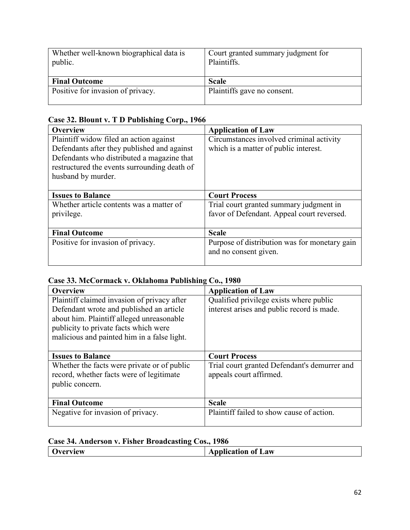| Whether well-known biographical data is<br>public. | Court granted summary judgment for<br>Plaintiffs. |
|----------------------------------------------------|---------------------------------------------------|
| <b>Final Outcome</b>                               | <b>Scale</b>                                      |
| Positive for invasion of privacy.                  | Plaintiffs gave no consent.                       |

### **Case 32. Blount v. T D Publishing Corp., 1966**

| <b>Overview</b>                              | <b>Application of Law</b>                     |
|----------------------------------------------|-----------------------------------------------|
| Plaintiff widow filed an action against      | Circumstances involved criminal activity      |
| Defendants after they published and against  | which is a matter of public interest.         |
| Defendants who distributed a magazine that   |                                               |
| restructured the events surrounding death of |                                               |
| husband by murder.                           |                                               |
|                                              |                                               |
| <b>Issues to Balance</b>                     | <b>Court Process</b>                          |
| Whether article contents was a matter of     | Trial court granted summary judgment in       |
| privilege.                                   | favor of Defendant. Appeal court reversed.    |
|                                              |                                               |
| <b>Final Outcome</b>                         | <b>Scale</b>                                  |
| Positive for invasion of privacy.            | Purpose of distribution was for monetary gain |
|                                              | and no consent given.                         |
|                                              |                                               |

### **Case 33. McCormack v. Oklahoma Publishing Co., 1980**

| <b>Overview</b>                             | <b>Application of Law</b>                    |
|---------------------------------------------|----------------------------------------------|
| Plaintiff claimed invasion of privacy after | Qualified privilege exists where public      |
| Defendant wrote and published an article    | interest arises and public record is made.   |
| about him. Plaintiff alleged unreasonable   |                                              |
| publicity to private facts which were       |                                              |
| malicious and painted him in a false light. |                                              |
|                                             |                                              |
| <b>Issues to Balance</b>                    | <b>Court Process</b>                         |
| Whether the facts were private or of public | Trial court granted Defendant's demurrer and |
| record, whether facts were of legitimate    | appeals court affirmed.                      |
| public concern.                             |                                              |
|                                             |                                              |
| <b>Final Outcome</b>                        | <b>Scale</b>                                 |
| Negative for invasion of privacy.           | Plaintiff failed to show cause of action.    |
|                                             |                                              |

### **Case 34. Anderson v. Fisher Broadcasting Cos., 1986**

| леw<br>ы | of Law<br>--- |
|----------|---------------|
|          |               |
|          |               |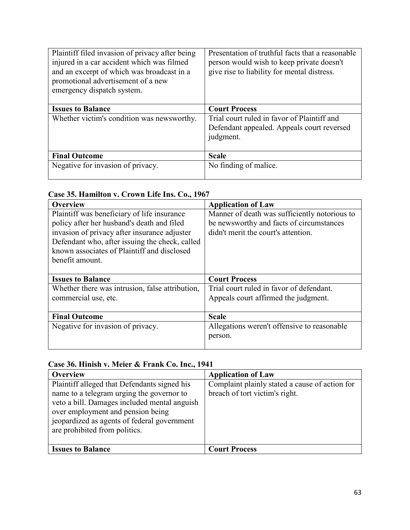| Plaintiff filed invasion of privacy after being<br>injured in a car accident which was filmed<br>and an excerpt of which was broadcast in a<br>promotional advertisement of a new<br>emergency dispatch system. | Presentation of truthful facts that a reasonable<br>person would wish to keep private doesn't<br>give rise to liability for mental distress. |
|-----------------------------------------------------------------------------------------------------------------------------------------------------------------------------------------------------------------|----------------------------------------------------------------------------------------------------------------------------------------------|
| <b>Issues to Balance</b>                                                                                                                                                                                        | <b>Court Process</b>                                                                                                                         |
| Whether victim's condition was newsworthy.                                                                                                                                                                      | Trial court ruled in favor of Plaintiff and<br>Defendant appealed. Appeals court reversed<br>judgment.                                       |
| <b>Final Outcome</b>                                                                                                                                                                                            | <b>Scale</b>                                                                                                                                 |
| Negative for invasion of privacy.                                                                                                                                                                               | No finding of malice.                                                                                                                        |

# **Case 35. Hamilton v. Crown Life Ins. Co., 1967**

| <b>Overview</b>                                 | <b>Application of Law</b>                     |
|-------------------------------------------------|-----------------------------------------------|
| Plaintiff was beneficiary of life insurance     | Manner of death was sufficiently notorious to |
| policy after her husband's death and filed      | be newsworthy and facts of circumstances      |
| invasion of privacy after insurance adjuster    | didn't merit the court's attention.           |
| Defendant who, after issuing the check, called  |                                               |
| known associates of Plaintiff and disclosed     |                                               |
| benefit amount.                                 |                                               |
|                                                 |                                               |
| <b>Issues to Balance</b>                        | <b>Court Process</b>                          |
|                                                 |                                               |
| Whether there was intrusion, false attribution, | Trial court ruled in favor of defendant.      |
| commercial use, etc.                            | Appeals court affirmed the judgment.          |
|                                                 |                                               |
| <b>Final Outcome</b>                            | <b>Scale</b>                                  |
| Negative for invasion of privacy.               | Allegations weren't offensive to reasonable   |
|                                                 | person.                                       |

# **Case 36. Hinish v. Meier & Frank Co. Inc., 1941**

| <b>Overview</b>                              | <b>Application of Law</b>                      |
|----------------------------------------------|------------------------------------------------|
| Plaintiff alleged that Defendants signed his | Complaint plainly stated a cause of action for |
| name to a telegram urging the governor to    | breach of tort victim's right.                 |
| veto a bill. Damages included mental anguish |                                                |
| over employment and pension being            |                                                |
| jeopardized as agents of federal government  |                                                |
| are prohibited from politics.                |                                                |
|                                              |                                                |
| <b>Issues to Balance</b>                     | <b>Court Process</b>                           |